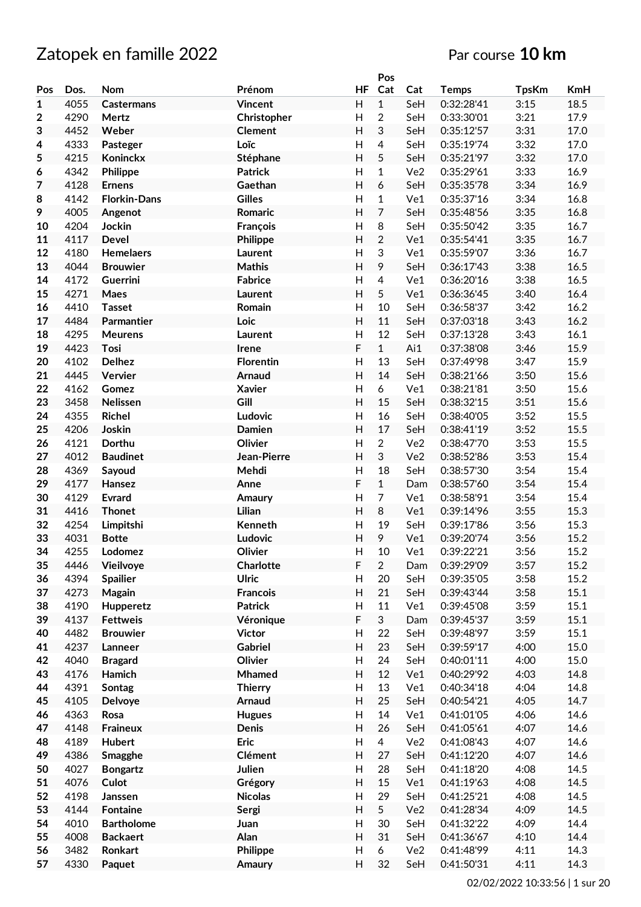# Zatopek en famille 2022 **Par course** 10 km

|     |      |                     |                 |                           | Pos            |                 |              |              |            |
|-----|------|---------------------|-----------------|---------------------------|----------------|-----------------|--------------|--------------|------------|
| Pos | Dos. | Nom                 | Prénom          | <b>HF</b>                 | Cat            | Cat             | <b>Temps</b> | <b>TpsKm</b> | <b>KmH</b> |
| 1   | 4055 | <b>Castermans</b>   | Vincent         | H                         | $\mathbf{1}$   | SeH             | 0:32:28'41   | 3:15         | 18.5       |
| 2   | 4290 | Mertz               | Christopher     | $\mathsf{H}%$             | $\overline{2}$ | SeH             | 0:33:30'01   | 3:21         | 17.9       |
| 3   | 4452 | Weber               | <b>Clement</b>  | H                         | 3              | SeH             | 0:35:12'57   | 3:31         | 17.0       |
| 4   | 4333 | Pasteger            | Loïc            | H                         | 4              | SeH             | 0:35:19'74   | 3:32         | 17.0       |
| 5   | 4215 | Koninckx            | Stéphane        | H                         | 5              | SeH             | 0:35:21'97   | 3:32         | 17.0       |
|     |      |                     |                 |                           |                |                 |              |              |            |
| 6   | 4342 | Philippe            | <b>Patrick</b>  | H                         | $\mathbf{1}$   | Ve2             | 0:35:29'61   | 3:33         | 16.9       |
| 7   | 4128 | <b>Ernens</b>       | Gaethan         | H                         | 6              | SeH             | 0:35:35'78   | 3:34         | 16.9       |
| 8   | 4142 | <b>Florkin-Dans</b> | <b>Gilles</b>   | H                         | $\mathbf{1}$   | Ve1             | 0:35:37'16   | 3:34         | 16.8       |
| 9   | 4005 | Angenot             | Romaric         | H                         | $\overline{7}$ | SeH             | 0:35:48'56   | 3:35         | 16.8       |
| 10  | 4204 | Jockin              | François        | $\mathsf{H}$              | 8              | SeH             | 0:35:50'42   | 3:35         | 16.7       |
| 11  | 4117 | <b>Devel</b>        | Philippe        | $\mathsf{H}$              | $\overline{2}$ | Ve1             | 0:35:54'41   | 3:35         | 16.7       |
| 12  | 4180 | <b>Hemelaers</b>    | Laurent         | $\mathsf{H}%$             | 3              | Ve1             | 0:35:59'07   | 3:36         | 16.7       |
| 13  | 4044 | <b>Brouwier</b>     | <b>Mathis</b>   | H                         | 9              | SeH             | 0:36:17'43   | 3:38         | 16.5       |
| 14  | 4172 | <b>Guerrini</b>     | <b>Fabrice</b>  | Н                         | $\overline{4}$ | Ve1             | 0:36:20'16   | 3:38         | 16.5       |
| 15  | 4271 | Maes                | <b>Laurent</b>  | H                         | 5              | Ve1             | 0:36:36'45   | 3:40         | 16.4       |
| 16  | 4410 | <b>Tasset</b>       | Romain          | H                         | 10             | SeH             | 0:36:58'37   | 3:42         | 16.2       |
| 17  | 4484 | Parmantier          | Loic            | H                         | 11             | SeH             | 0:37:03'18   | 3:43         | 16.2       |
| 18  | 4295 | <b>Meurens</b>      | Laurent         | $\mathsf{H}%$             | 12             | SeH             | 0:37:13'28   | 3:43         | 16.1       |
|     |      |                     |                 | $\mathsf F$               |                |                 |              |              |            |
| 19  | 4423 | Tosi                | Irene           |                           | $\mathbf{1}$   | Ai1             | 0:37:38'08   | 3:46         | 15.9       |
| 20  | 4102 | <b>Delhez</b>       | Florentin       | $\overline{\mathsf{H}}$   | 13             | SeH             | 0:37:49'98   | 3:47         | 15.9       |
| 21  | 4445 | Vervier             | Arnaud          | H                         | 14             | SeH             | 0:38:21'66   | 3:50         | 15.6       |
| 22  | 4162 | Gomez               | <b>Xavier</b>   | $\overline{\mathsf{H}}$   | 6              | Ve1             | 0:38:21'81   | 3:50         | 15.6       |
| 23  | 3458 | Nelissen            | Gill            | H                         | 15             | SeH             | 0:38:32'15   | 3:51         | 15.6       |
| 24  | 4355 | <b>Richel</b>       | Ludovic         | H                         | 16             | SeH             | 0:38:40'05   | 3:52         | 15.5       |
| 25  | 4206 | Joskin              | <b>Damien</b>   | H                         | 17             | SeH             | 0:38:41'19   | 3:52         | 15.5       |
| 26  | 4121 | Dorthu              | Olivier         | H                         | $\overline{2}$ | Ve <sub>2</sub> | 0:38:47'70   | 3:53         | 15.5       |
| 27  | 4012 | <b>Baudinet</b>     | Jean-Pierre     | H                         | 3              | Ve <sub>2</sub> | 0:38:52'86   | 3:53         | 15.4       |
| 28  | 4369 | Sayoud              | Mehdi           | $\mathsf{H}%$             | 18             | SeH             | 0:38:57'30   | 3:54         | 15.4       |
| 29  | 4177 | Hansez              | Anne            | $\mathsf F$               | $\mathbf{1}$   | Dam             | 0:38:57'60   | 3:54         | 15.4       |
| 30  | 4129 | <b>Evrard</b>       | Amaury          | $\mathsf{H}$              | 7              | Ve1             | 0:38:58'91   | 3:54         | 15.4       |
| 31  | 4416 | <b>Thonet</b>       | Lilian          | $\mathsf{H}$              | 8              | Ve1             | 0:39:14'96   | 3:55         | 15.3       |
| 32  | 4254 | Limpitshi           | Kenneth         | $\mathsf{H}%$             | 19             | SeH             | 0:39:17'86   | 3:56         | 15.3       |
| 33  | 4031 | <b>Botte</b>        | Ludovic         | $\overline{H}$            | 9              | Ve1             | 0:39:20'74   |              | 15.2       |
|     |      |                     |                 |                           |                |                 |              | 3:56         |            |
| 34  | 4255 | Lodomez             | Olivier         | H                         | 10             | Ve1             | 0:39:22'21   | 3:56         | 15.2       |
| 35  | 4446 | Vieilvoye           | Charlotte       | F                         | $\overline{2}$ | Dam             | 0:39:29'09   | 3:57         | 15.2       |
| 36  | 4394 | <b>Spailier</b>     | <b>Ulric</b>    | H                         | 20             | SeH             | 0:39:35'05   | 3:58         | 15.2       |
| 37  | 4273 | Magain              | <b>Francois</b> | $\boldsymbol{\mathsf{H}}$ | 21             | SeH             | 0:39:43'44   | 3:58         | 15.1       |
| 38  | 4190 | Hupperetz           | <b>Patrick</b>  | $\boldsymbol{\mathsf{H}}$ | 11             | Ve1             | 0:39:45'08   | 3:59         | 15.1       |
| 39  | 4137 | <b>Fettweis</b>     | Véronique       | $\mathsf F$               | 3              | Dam             | 0:39:45'37   | 3:59         | 15.1       |
| 40  | 4482 | <b>Brouwier</b>     | <b>Victor</b>   | $\mathsf{H}%$             | 22             | SeH             | 0:39:48'97   | 3:59         | 15.1       |
| 41  | 4237 | Lanneer             | Gabriel         | $\boldsymbol{\mathsf{H}}$ | 23             | SeH             | 0:39:59'17   | 4:00         | 15.0       |
| 42  | 4040 | <b>Bragard</b>      | Olivier         | H                         | 24             | SeH             | 0:40:01'11   | 4:00         | 15.0       |
| 43  | 4176 | Hamich              | Mhamed          | $\boldsymbol{\mathsf{H}}$ | 12             | Ve1             | 0:40:29'92   | 4:03         | 14.8       |
| 44  | 4391 | <b>Sontag</b>       | <b>Thierry</b>  | H                         | 13             | Ve1             | 0:40:34'18   | 4:04         | 14.8       |
| 45  | 4105 | <b>Delvoye</b>      | Arnaud          | $\boldsymbol{\mathsf{H}}$ | 25             | SeH             | 0:40:54'21   | 4:05         | 14.7       |
| 46  | 4363 | Rosa                | <b>Hugues</b>   | H                         | 14             | Ve1             | 0:41:01'05   | 4:06         | 14.6       |
| 47  | 4148 | <b>Fraineux</b>     | Denis           | $\boldsymbol{\mathsf{H}}$ | 26             | SeH             | 0:41:05'61   | 4:07         | 14.6       |
| 48  | 4189 | <b>Hubert</b>       | <b>Eric</b>     | Н                         | $\overline{4}$ | Ve2             | 0:41:08'43   | 4:07         | 14.6       |
|     |      |                     |                 |                           |                |                 |              |              |            |
| 49  | 4386 | Smagghe             | Clément         | $\boldsymbol{\mathsf{H}}$ | 27             | SeH             | 0:41:12'20   | 4:07         | 14.6       |
| 50  | 4027 | <b>Bongartz</b>     | Julien          | $\boldsymbol{\mathsf{H}}$ | 28             | SeH             | 0:41:18'20   | 4:08         | 14.5       |
| 51  | 4076 | Culot               | Grégory         | $\boldsymbol{\mathsf{H}}$ | 15             | Ve1             | 0:41:19'63   | 4:08         | 14.5       |
| 52  | 4198 | Janssen             | <b>Nicolas</b>  | $\boldsymbol{\mathsf{H}}$ | 29             | SeH             | 0:41:25'21   | 4:08         | 14.5       |
| 53  | 4144 | <b>Fontaine</b>     | Sergi           | $\boldsymbol{\mathsf{H}}$ | 5 <sup>1</sup> | Ve2             | 0:41:28'34   | 4:09         | 14.5       |
| 54  | 4010 | <b>Bartholome</b>   | Juan            | H                         | 30             | SeH             | 0:41:32'22   | 4:09         | 14.4       |
| 55  | 4008 | <b>Backaert</b>     | Alan            | H                         | 31             | SeH             | 0:41:36'67   | 4:10         | 14.4       |
| 56  | 3482 | Ronkart             | Philippe        | H                         | 6              | Ve2             | 0:41:48'99   | 4:11         | 14.3       |
| 57  | 4330 | Paquet              | Amaury          | $\boldsymbol{\mathsf{H}}$ | 32             | SeH             | 0:41:50'31   | 4:11         | 14.3       |
|     |      |                     |                 |                           |                |                 |              |              |            |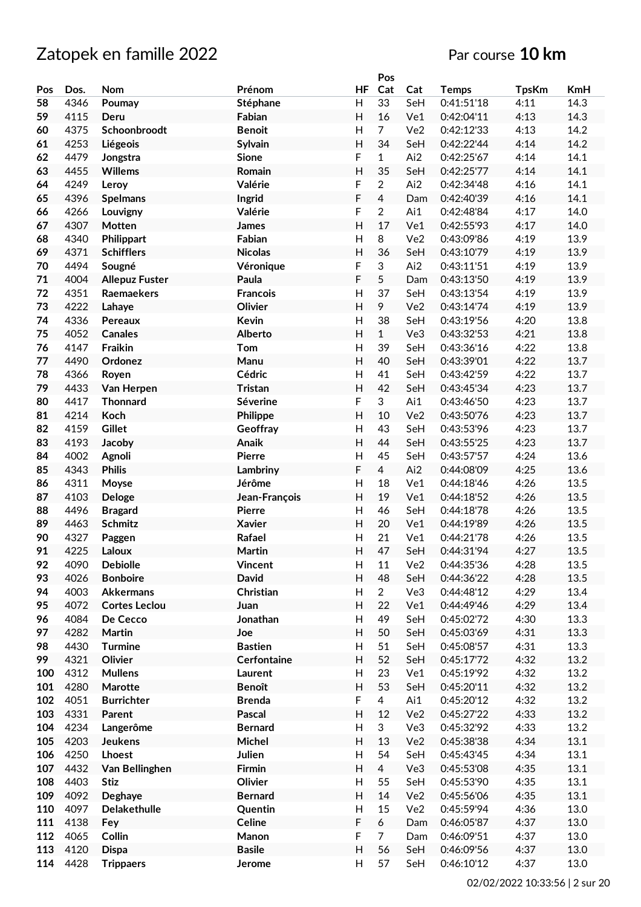|          |      |                       |                 |                           | Pos            |                 |              |              |            |
|----------|------|-----------------------|-----------------|---------------------------|----------------|-----------------|--------------|--------------|------------|
| Pos      | Dos. | Nom                   | Prénom          | ΗF                        | Cat            | Cat             | <b>Temps</b> | <b>TpsKm</b> | <b>KmH</b> |
| 58       | 4346 | Poumay                | Stéphane        | H                         | 33             | SeH             | 0:41:51'18   | 4:11         | 14.3       |
| 59       | 4115 | Deru                  | Fabian          | H                         | 16             | Ve1             | 0:42:04'11   | 4:13         | 14.3       |
| 60       | 4375 | Schoonbroodt          | <b>Benoit</b>   | H                         | $\overline{7}$ | Ve <sub>2</sub> | 0:42:12'33   | 4:13         | 14.2       |
| 61       | 4253 | Liégeois              | Sylvain         | H                         | 34             | SeH             | 0:42:22'44   | 4:14         | 14.2       |
| 62       | 4479 | Jongstra              | <b>Sione</b>    | F                         | $\mathbf{1}$   | Ai2             | 0:42:25'67   | 4:14         | 14.1       |
| 63       | 4455 | <b>Willems</b>        | Romain          | Η                         | 35             | SeH             | 0:42:25'77   | 4:14         | 14.1       |
| 64       | 4249 | Leroy                 | Valérie         | F                         | $\overline{2}$ | Ai2             | 0:42:34'48   | 4:16         | 14.1       |
| 65       | 4396 | <b>Spelmans</b>       | Ingrid          | F                         | 4              | Dam             | 0:42:40'39   | 4:16         | 14.1       |
| 66       | 4266 | Louvigny              | Valérie         | F                         | $\overline{2}$ | Ai1             | 0:42:48'84   | 4:17         | 14.0       |
| 67       | 4307 | Motten                | James           | $\overline{H}$            | 17             | Ve1             | 0:42:55'93   | 4:17         | 14.0       |
| 68       | 4340 | Philippart            | Fabian          | H                         | 8              | Ve <sub>2</sub> | 0:43:09'86   | 4:19         | 13.9       |
|          | 4371 | <b>Schifflers</b>     | <b>Nicolas</b>  | $\overline{H}$            | 36             | SeH             | 0:43:10'79   |              | 13.9       |
| 69<br>70 | 4494 | Sougné                |                 | F                         | 3              | Ai2             |              | 4:19         | 13.9       |
|          |      |                       | Véronique       | F                         | 5              |                 | 0:43:11'51   | 4:19         |            |
| 71       | 4004 | <b>Allepuz Fuster</b> | Paula           |                           |                | Dam             | 0:43:13'50   | 4:19         | 13.9       |
| 72       | 4351 | Raemaekers            | <b>Francois</b> | H                         | 37             | SeH             | 0:43:13'54   | 4:19         | 13.9       |
| 73       | 4222 | Lahaye                | Olivier         | Η                         | 9              | Ve <sub>2</sub> | 0:43:14'74   | 4:19         | 13.9       |
| 74       | 4336 | Pereaux               | Kevin           | H                         | 38             | SeH             | 0:43:19'56   | 4:20         | 13.8       |
| 75       | 4052 | <b>Canales</b>        | Alberto         | Η                         | $\mathbf{1}$   | Ve3             | 0:43:32'53   | 4:21         | 13.8       |
| 76       | 4147 | Fraikin               | Tom             | H                         | 39             | SeH             | 0:43:36'16   | 4:22         | 13.8       |
| 77       | 4490 | Ordonez               | Manu            | $\mathsf{H}$              | 40             | SeH             | 0:43:39'01   | 4:22         | 13.7       |
| 78       | 4366 | Royen                 | Cédric          | $\overline{\mathsf{H}}$   | 41             | SeH             | 0:43:42'59   | 4:22         | 13.7       |
| 79       | 4433 | Van Herpen            | <b>Tristan</b>  | H                         | 42             | SeH             | 0:43:45'34   | 4:23         | 13.7       |
| 80       | 4417 | <b>Thonnard</b>       | Séverine        | F                         | 3              | Ai1             | 0:43:46'50   | 4:23         | 13.7       |
| 81       | 4214 | Koch                  | <b>Philippe</b> | $\overline{H}$            | 10             | Ve2             | 0:43:50'76   | 4:23         | 13.7       |
| 82       | 4159 | <b>Gillet</b>         | Geoffray        | Η                         | 43             | SeH             | 0:43:53'96   | 4:23         | 13.7       |
| 83       | 4193 | Jacoby                | Anaik           | Η                         | 44             | SeH             | 0:43:55'25   | 4:23         | 13.7       |
| 84       | 4002 | Agnoli                | <b>Pierre</b>   | H                         | 45             | SeH             | 0:43:57'57   | 4:24         | 13.6       |
| 85       | 4343 | <b>Philis</b>         | Lambriny        | F                         | $\overline{4}$ | Ai2             | 0:44:08'09   | 4:25         | 13.6       |
| 86       | 4311 | Moyse                 | Jérôme          | Η                         | 18             | Ve1             | 0:44:18'46   | 4:26         | 13.5       |
| 87       | 4103 | <b>Deloge</b>         | Jean-François   | $\mathsf{H}$              | 19             | Ve1             | 0:44:18'52   | 4:26         | 13.5       |
| 88       | 4496 | <b>Bragard</b>        | <b>Pierre</b>   | $\mathsf{H}$              | 46             | SeH             | 0:44:18'78   | 4:26         | 13.5       |
| 89       | 4463 | Schmitz               | <b>Xavier</b>   | $\overline{\mathsf{H}}$   | 20             | Ve1             | 0:44:19'89   | 4:26         | 13.5       |
| 90       | 4327 | Paggen                | Rafael          | H                         | 21             | Ve1             | 0:44:21'78   | 4:26         | 13.5       |
| 91       | 4225 | Laloux                | Martin          | H                         | 47             | SeH             | 0:44:31'94   | 4:27         | 13.5       |
| 92       | 4090 | <b>Debiolle</b>       | <b>Vincent</b>  | H                         | 11             | Ve2             | 0:44:35'36   | 4:28         | 13.5       |
| 93       | 4026 | <b>Bonboire</b>       | <b>David</b>    | H                         | 48             | SeH             | 0:44:36'22   | 4:28         | 13.5       |
| 94       | 4003 | <b>Akkermans</b>      | Christian       | H                         | $\overline{2}$ | Ve3             | 0:44:48'12   | 4:29         | 13.4       |
| 95       | 4072 | <b>Cortes Leclou</b>  | Juan            | H                         | 22             | Ve1             | 0:44:49'46   | 4:29         | 13.4       |
| 96       | 4084 | De Cecco              | Jonathan        | H                         | 49             | SeH             | 0:45:02'72   | 4:30         | 13.3       |
| 97       | 4282 | Martin                | Joe             | H                         | 50             | SeH             | 0:45:03'69   | 4:31         | 13.3       |
| 98       | 4430 | <b>Turmine</b>        | <b>Bastien</b>  | $\mathsf{H}%$             | 51             | SeH             | 0:45:08'57   | 4:31         | 13.3       |
| 99       | 4321 | Olivier               | Cerfontaine     | $\mathsf{H}$              | 52             | SeH             | 0:45:17'72   | 4:32         | 13.2       |
| 100      | 4312 | <b>Mullens</b>        | Laurent         | H                         | 23             | Ve1             | 0:45:19'92   | 4:32         | 13.2       |
| 101      | 4280 | Marotte               | <b>Benoît</b>   | Н                         | 53             | SeH             | 0:45:20'11   | 4:32         | 13.2       |
| 102      | 4051 | <b>Burrichter</b>     | <b>Brenda</b>   | F                         | 4              | Ai1             | 0:45:20'12   | 4:32         | 13.2       |
| 103      | 4331 | Parent                | Pascal          | Н                         | 12             | Ve2             | 0:45:27'22   | 4:33         | 13.2       |
| 104      | 4234 | Langerôme             | <b>Bernard</b>  | H                         | 3              | Ve3             | 0:45:32'92   | 4:33         | 13.2       |
| 105      | 4203 | <b>Jeukens</b>        | Michel          | $\boldsymbol{\mathsf{H}}$ | 13             | Ve2             | 0:45:38'38   | 4:34         | 13.1       |
| 106      | 4250 | <b>Lhoest</b>         | Julien          | $\mathsf{H}%$             | 54             | SeH             | 0:45:43'45   | 4:34         | 13.1       |
| 107      | 4432 | Van Bellinghen        | Firmin          | Н                         | $\overline{4}$ | Ve3             | 0:45:53'08   | 4:35         | 13.1       |
| 108      | 4403 | <b>Stiz</b>           | Olivier         | $\mathsf{H}%$             | 55             | SeH             | 0:45:53'90   | 4:35         | 13.1       |
| 109      | 4092 | Deghaye               | <b>Bernard</b>  | H                         | 14             | Ve2             | 0:45:56'06   | 4:35         | 13.1       |
| 110      | 4097 | Delakethulle          | Quentin         | H                         | 15             | Ve2             | 0:45:59'94   | 4:36         | 13.0       |
| 111      | 4138 |                       | Celine          | F                         | 6              |                 | 0:46:05'87   | 4:37         | 13.0       |
| 112      | 4065 | Fey<br>Collin         | Manon           | F                         | $\overline{7}$ | Dam<br>Dam      | 0:46:09'51   | 4:37         | 13.0       |
| 113      | 4120 |                       | <b>Basile</b>   | Н                         | 56             | SeH             | 0:46:09'56   | 4:37         | 13.0       |
|          |      | <b>Dispa</b>          |                 |                           |                |                 |              |              |            |
| 114      | 4428 | <b>Trippaers</b>      | Jerome          | H                         | 57             | SeH             | 0:46:10'12   | 4:37         | 13.0       |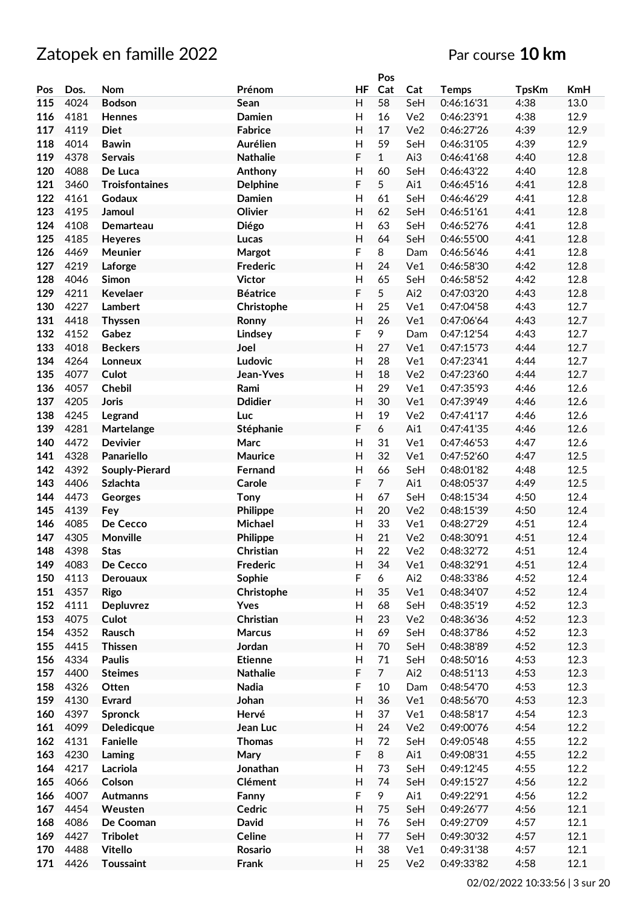|     |      |                       |                 |                | Pos            |                 |              |              |            |
|-----|------|-----------------------|-----------------|----------------|----------------|-----------------|--------------|--------------|------------|
| Pos | Dos. | Nom                   | Prénom          | ΗF             | Cat            | Cat             | <b>Temps</b> | <b>TpsKm</b> | <b>KmH</b> |
| 115 | 4024 | <b>Bodson</b>         | Sean            | H              | 58             | SeH             | 0:46:16'31   | 4:38         | 13.0       |
| 116 | 4181 | Hennes                | Damien          | H              | 16             | Ve2             | 0:46:23'91   | 4:38         | 12.9       |
| 117 | 4119 | <b>Diet</b>           | <b>Fabrice</b>  | Η              | 17             | Ve <sub>2</sub> | 0:46:27'26   | 4:39         | 12.9       |
| 118 | 4014 | <b>Bawin</b>          | Aurélien        | H              | 59             | SeH             | 0:46:31'05   | 4:39         | 12.9       |
|     |      |                       |                 |                |                |                 |              |              |            |
| 119 | 4378 | <b>Servais</b>        | <b>Nathalie</b> | F              | $\mathbf{1}$   | Ai3             | 0:46:41'68   | 4:40         | 12.8       |
| 120 | 4088 | De Luca               | Anthony         | Η              | 60             | SeH             | 0:46:43'22   | 4:40         | 12.8       |
| 121 | 3460 | <b>Troisfontaines</b> | <b>Delphine</b> | F              | 5              | Ai1             | 0:46:45'16   | 4:41         | 12.8       |
| 122 | 4161 | Godaux                | Damien          | H              | 61             | SeH             | 0:46:46'29   | 4:41         | 12.8       |
| 123 | 4195 | Jamoul                | Olivier         | Η              | 62             | SeH             | 0:46:51'61   | 4:41         | 12.8       |
| 124 | 4108 | Demarteau             | Diégo           | H              | 63             | SeH             | 0:46:52'76   | 4:41         | 12.8       |
| 125 | 4185 | Heyeres               | Lucas           | H              | 64             | SeH             | 0:46:55'00   | 4:41         | 12.8       |
| 126 | 4469 | Meunier               | Margot          | F              | 8              | Dam             | 0:46:56'46   | 4:41         | 12.8       |
| 127 | 4219 | Laforge               | Frederic        | $\overline{H}$ | 24             | Ve1             | 0:46:58'30   | 4:42         | 12.8       |
| 128 | 4046 | Simon                 | <b>Victor</b>   | H              | 65             | SeH             | 0:46:58'52   | 4:42         | 12.8       |
|     |      |                       | <b>Béatrice</b> | F              |                |                 | 0:47:03'20   |              |            |
| 129 | 4211 | Kevelaer              |                 |                | 5              | Ai2             |              | 4:43         | 12.8       |
| 130 | 4227 | Lambert               | Christophe      | H              | 25             | Ve1             | 0:47:04'58   | 4:43         | 12.7       |
| 131 | 4418 | <b>Thyssen</b>        | Ronny           | Н              | 26             | Ve1             | 0:47:06'64   | 4:43         | 12.7       |
| 132 | 4152 | Gabez                 | Lindsey         | F              | 9              | Dam             | 0:47:12'54   | 4:43         | 12.7       |
| 133 | 4018 | <b>Beckers</b>        | Joel            | H              | 27             | Ve1             | 0:47:15'73   | 4:44         | 12.7       |
| 134 | 4264 | Lonneux               | Ludovic         | H              | 28             | Ve1             | 0:47:23'41   | 4:44         | 12.7       |
| 135 | 4077 | Culot                 | Jean-Yves       | $\mathsf{H}$   | 18             | Ve2             | 0:47:23'60   | 4:44         | 12.7       |
| 136 | 4057 | <b>Chebil</b>         | Rami            | $\overline{H}$ | 29             | Ve1             | 0:47:35'93   | 4:46         | 12.6       |
| 137 | 4205 | <b>Joris</b>          | <b>Ddidier</b>  | Η              | 30             | Ve1             | 0:47:39'49   | 4:46         | 12.6       |
| 138 | 4245 | Legrand               | Luc             | H              | 19             | Ve <sub>2</sub> | 0:47:41'17   | 4:46         | 12.6       |
| 139 | 4281 | Martelange            | Stéphanie       | F              | 6              | Ai1             | 0:47:41'35   | 4:46         | 12.6       |
| 140 | 4472 | <b>Devivier</b>       | Marc            | Η              | 31             | Ve1             | 0:47:46'53   | 4:47         | 12.6       |
| 141 | 4328 | Panariello            | Maurice         | H              | 32             | Ve1             | 0:47:52'60   | 4:47         | 12.5       |
|     |      |                       |                 |                |                |                 |              |              |            |
| 142 | 4392 | Souply-Pierard        | Fernand         | H              | 66             | SeH             | 0:48:01'82   | 4:48         | 12.5       |
| 143 | 4406 | <b>Szlachta</b>       | Carole          | F              | $\overline{7}$ | Ai1             | 0:48:05'37   | 4:49         | 12.5       |
| 144 | 4473 | Georges               | Tony            | $\mathsf{H}%$  | 67             | SeH             | 0:48:15'34   | 4:50         | 12.4       |
| 145 | 4139 | Fey                   | Philippe        | H              | 20             | Ve2             | 0:48:15'39   | 4:50         | 12.4       |
| 146 | 4085 | De Cecco              | Michael         | $\mathsf{H}$   | 33             | Ve1             | 0:48:27'29   | 4:51         | 12.4       |
| 147 | 4305 | Monville              | <b>Philippe</b> | H              | 21             | Ve <sub>2</sub> | 0:48:30'91   | 4:51         | 12.4       |
| 148 | 4398 | <b>Stas</b>           | Christian       | H              | 22             | Ve2             | 0:48:32'72   | 4:51         | 12.4       |
| 149 | 4083 | De Cecco              | Frederic        | H              | 34             | Ve1             | 0:48:32'91   | 4:51         | 12.4       |
| 150 | 4113 | Derouaux              | Sophie          | F              | 6              | Ai2             | 0:48:33'86   | 4:52         | 12.4       |
| 151 | 4357 | <b>Rigo</b>           | Christophe      | н              | 35             | Ve1             | 0:48:34'07   | 4:52         | 12.4       |
| 152 | 4111 | <b>Depluvrez</b>      | Yves            | H              | 68             | SeH             | 0:48:35'19   | 4:52         | 12.3       |
| 153 | 4075 | Culot                 | Christian       | H              | 23             | Ve2             | 0:48:36'36   | 4:52         | 12.3       |
| 154 | 4352 | Rausch                | <b>Marcus</b>   | H              | 69             | SeH             | 0:48:37'86   | 4:52         | 12.3       |
| 155 | 4415 | <b>Thissen</b>        | Jordan          | $\mathsf{H}%$  | 70             | SeH             | 0:48:38'89   | 4:52         | 12.3       |
| 156 | 4334 | <b>Paulis</b>         | <b>Etienne</b>  | $\mathsf{H}$   | 71             | SeH             | 0:48:50'16   | 4:53         | 12.3       |
|     |      | <b>Steimes</b>        |                 |                | $\overline{7}$ |                 |              |              |            |
| 157 | 4400 |                       | <b>Nathalie</b> | F              |                | Ai2             | 0:48:51'13   | 4:53         | 12.3       |
| 158 | 4326 | Otten                 | Nadia           | F              | 10             | Dam             | 0:48:54'70   | 4:53         | 12.3       |
| 159 | 4130 | <b>Evrard</b>         | Johan           | Н              | 36             | Ve1             | 0:48:56'70   | 4:53         | 12.3       |
| 160 | 4397 | <b>Spronck</b>        | Hervé           | H              | 37             | Ve1             | 0:48:58'17   | 4:54         | 12.3       |
| 161 | 4099 | Deledicque            | Jean Luc        | H              | 24             | Ve2             | 0:49:00'76   | 4:54         | 12.2       |
| 162 | 4131 | <b>Fanielle</b>       | <b>Thomas</b>   | H              | 72             | SeH             | 0:49:05'48   | 4:55         | 12.2       |
| 163 | 4230 | Laming                | Mary            | F              | 8              | Ai1             | 0:49:08'31   | 4:55         | 12.2       |
| 164 | 4217 | Lacriola              | Jonathan        | $\mathsf{H}$   | 73             | SeH             | 0:49:12'45   | 4:55         | 12.2       |
| 165 | 4066 | Colson                | Clément         | $\mathsf{H}%$  | 74             | SeH             | 0:49:15'27   | 4:56         | 12.2       |
| 166 | 4007 | <b>Autmanns</b>       | Fanny           | F              | 9              | Ai1             | 0:49:22'91   | 4:56         | 12.2       |
| 167 | 4454 | Weusten               | Cedric          | Н              | 75             | SeH             | 0:49:26'77   | 4:56         | 12.1       |
| 168 | 4086 | De Cooman             | David           | H              | 76             | SeH             | 0:49:27'09   | 4:57         | 12.1       |
|     |      |                       |                 | H              |                |                 |              |              |            |
| 169 | 4427 | <b>Tribolet</b>       | Celine          |                | 77             | SeH             | 0:49:30'32   | 4:57         | 12.1       |
| 170 | 4488 | <b>Vitello</b>        | Rosario         | H              | 38             | Ve1             | 0:49:31'38   | 4:57         | 12.1       |
| 171 | 4426 | Toussaint             | Frank           | H              | 25             | Ve2             | 0:49:33'82   | 4:58         | 12.1       |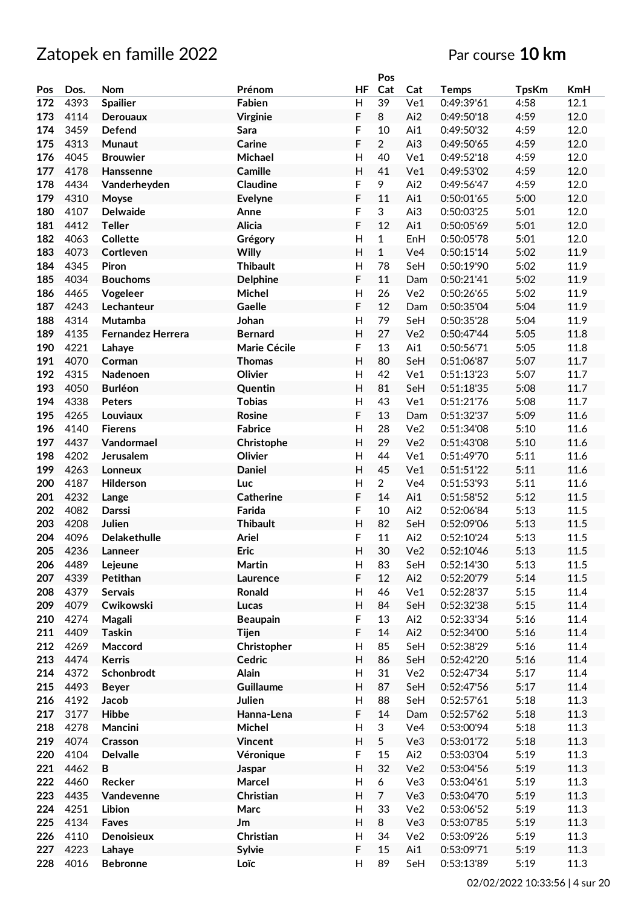|            |              |                          |                      |                                           | Pos                  |                 |                          |              |                  |
|------------|--------------|--------------------------|----------------------|-------------------------------------------|----------------------|-----------------|--------------------------|--------------|------------------|
| Pos        | Dos.         | <b>Nom</b>               | Prénom               | HF                                        | Cat                  | Cat             | <b>Temps</b>             | <b>TpsKm</b> | <b>KmH</b>       |
| 172        | 4393         | <b>Spailier</b>          | Fabien               | $\mathsf{H}$                              | 39                   | Ve1             | 0:49:39'61               | 4:58         | 12.1             |
| 173        | 4114         | <b>Derouaux</b>          | <b>Virginie</b>      | F                                         | 8                    | Ai2             | 0:49:50'18               | 4:59         | 12.0             |
| 174        | 3459         | Defend                   | Sara                 | F                                         | 10                   | Ai1             | 0:49:50'32               | 4:59         | 12.0             |
| 175        | 4313         | Munaut                   | Carine               | F                                         | $\overline{2}$       | Ai3             | 0:49:50'65               | 4:59         | 12.0             |
| 176        | 4045         | <b>Brouwier</b>          | Michael              | $\mathsf{H}$                              | 40                   | Ve1             | 0:49:52'18               | 4:59         | 12.0             |
| 177        | 4178         | Hanssenne                | Camille              | Н                                         | 41                   | Ve1             | 0:49:53'02               | 4:59         | 12.0             |
| 178        | 4434         | Vanderheyden             | Claudine             | F                                         | 9                    | Ai2             | 0:49:56'47               | 4:59         | 12.0             |
| 179        | 4310         | Moyse                    | <b>Evelyne</b>       | F                                         | 11                   | Ai1             | 0:50:01'65               | 5:00         | 12.0             |
| 180        | 4107         | <b>Delwaide</b>          | Anne                 | F                                         | 3                    | Ai3             | 0:50:03'25               | 5:01         | 12.0             |
| 181        | 4412         | <b>Teller</b>            | Alicia               | F                                         | 12                   | Ai1             | 0:50:05'69               | 5:01         | 12.0             |
| 182        | 4063         | <b>Collette</b>          | Grégory              | $\mathsf{H}$                              | $\mathbf{1}$         | EnH             | 0:50:05'78               | 5:01         | 12.0             |
| 183        | 4073         | Cortleven                | Willy                | $\overline{H}$                            | $\mathbf{1}$         | Ve <sub>4</sub> | 0:50:15'14               | 5:02         | 11.9             |
| 184        | 4345         | Piron                    | <b>Thibault</b>      | $\mathsf{H}$                              | 78                   | SeH             | 0:50:19'90               | 5:02         | 11.9             |
| 185        | 4034         | <b>Bouchoms</b>          | <b>Delphine</b>      | F                                         | 11                   | Dam             | 0:50:21'41               | 5:02         | 11.9             |
| 186        | 4465         |                          | Michel               | $\mathsf{H}$                              | 26                   | Ve2             | 0:50:26'65               | 5:02         | 11.9             |
| 187        | 4243         | Vogeleer<br>Lechanteur   | Gaelle               | F                                         | 12                   |                 | 0:50:35'04               | 5:04         | 11.9             |
| 188        | 4314         | <b>Mutamba</b>           | Johan                | $\mathsf{H}$                              | 79                   | Dam             | 0:50:35'28               |              |                  |
| 189        |              |                          |                      |                                           | 27                   | SeH             |                          | 5:04         | 11.9             |
|            | 4135         | <b>Fernandez Herrera</b> | <b>Bernard</b>       | $\mathsf{H}$                              |                      | Ve <sub>2</sub> | 0:50:47'44               | 5:05         | 11.8             |
| 190        | 4221         | Lahaye                   | Marie Cécile         | F                                         | 13                   | Ai1             | 0:50:56'71               | 5:05         | 11.8             |
| 191        | 4070         | Corman                   | <b>Thomas</b>        | $\overline{H}$                            | 80                   | SeH             | 0:51:06'87               | 5:07         | 11.7             |
| 192        | 4315         | Nadenoen                 | Olivier              | $\mathsf{H}$                              | 42                   | Ve1             | 0:51:13'23               | 5:07         | 11.7             |
| 193        | 4050         | <b>Burléon</b>           | Quentin              | $\overline{H}$                            | 81                   | SeH             | 0:51:18'35               | 5:08         | 11.7             |
| 194        | 4338         | <b>Peters</b>            | <b>Tobias</b>        | $\mathsf{H}$                              | 43                   | Ve1             | 0:51:21'76               | 5:08         | 11.7             |
| 195        | 4265         | Louviaux                 | Rosine               | F                                         | 13                   | Dam             | 0:51:32'37               | 5:09         | 11.6             |
| 196        | 4140         | <b>Fierens</b>           | <b>Fabrice</b>       | $\mathsf{H}$                              | 28                   | Ve <sub>2</sub> | 0:51:34'08               | 5:10         | 11.6             |
| 197        | 4437         | Vandormael               | Christophe           | Н                                         | 29                   | Ve <sub>2</sub> | 0:51:43'08               | 5:10         | 11.6             |
| 198        | 4202         | Jerusalem                | Olivier              | H                                         | 44                   | Ve1             | 0:51:49'70               | 5:11         | 11.6             |
| 199        | 4263         | Lonneux                  | <b>Daniel</b>        | $\mathsf{H}$                              | 45                   | Ve1             | 0:51:51'22               | 5:11         | 11.6             |
| 200        | 4187         | Hilderson                | Luc                  | $\mathsf{H}$                              | $\overline{2}$       | Ve4             | 0:51:53'93               | 5:11         | 11.6             |
| 201        | 4232         | Lange                    | <b>Catherine</b>     | F                                         | 14                   | Ai1             | 0:51:58'52               | 5:12         | 11.5             |
| 202        | 4082         | Darssi                   | Farida               | F                                         | 10                   | Ai2             | 0:52:06'84               | 5:13         | 11.5             |
| 203        | 4208         | Julien                   | <b>Thibault</b>      | $\overline{H}$                            | 82                   | SeH             | 0:52:09'06               | 5:13         | 11.5             |
| 204        | 4096         | <b>Delakethulle</b>      | <b>Ariel</b>         | F                                         | 11                   | Ai2             | 0:52:10'24               | 5:13         | 11.5             |
| 205        | 4236         | Lanneer                  | <b>Eric</b>          | $\overline{H}$                            | 30                   | Ve2             | 0:52:10'46               | 5:13         | 11.5             |
| 206        | 4489         | Lejeune                  | Martin               | H                                         | 83                   | SeH             | 0:52:14'30               | 5:13         | 11.5             |
| 207        | 4339         | Petithan                 | Laurence             | F                                         | 12                   | Ai2             | 0:52:20'79               | 5:14         | 11.5             |
| 208        | 4379         | Servais                  | Ronald               | Н                                         | 46                   | Ve1             | 0:52:28'37               | 5:15         | 11.4             |
| 209        | 4079         | Cwikowski                | Lucas                | H                                         | 84                   | SeH             | 0:52:32'38               | 5:15         | 11.4             |
| 210        | 4274         | Magali                   | <b>Beaupain</b>      | F                                         | 13                   | Ai2             | 0:52:33'34               | 5:16         | 11.4             |
| 211        | 4409         | <b>Taskin</b>            | <b>Tijen</b>         | F                                         | 14                   | Ai2             | 0:52:34'00               | 5:16         | 11.4             |
| 212        | 4269<br>4474 | Maccord                  | Christopher          | $\mathsf{H}$<br>$\boldsymbol{\mathsf{H}}$ | 85                   | SeH             | 0:52:38'29               | 5:16         | 11.4             |
| 213        |              | <b>Kerris</b>            | Cedric               |                                           | 86                   | SeH             | 0:52:42'20               | 5:16         | 11.4             |
| 214        | 4372         | Schonbrodt               | <b>Alain</b>         | Н                                         | 31                   | Ve2             | 0:52:47'34               | 5:17         | 11.4             |
| 215        | 4493         | <b>Beyer</b>             | Guillaume            | $\boldsymbol{\mathsf{H}}$                 | 87                   | SeH             | 0:52:47'56               | 5:17         | 11.4             |
| 216        | 4192<br>3177 | Jacob                    | Julien               | Н<br>F                                    | 88                   | SeH             | 0:52:57'61               | 5:18         | 11.3             |
| 217<br>218 | 4278         | <b>Hibbe</b><br>Mancini  | Hanna-Lena<br>Michel | Н                                         | 14<br>3              | Dam<br>Ve4      | 0:52:57'62<br>0:53:00'94 | 5:18<br>5:18 | 11.3<br>11.3     |
| 219        | 4074         |                          |                      | $\boldsymbol{\mathsf{H}}$                 | 5                    |                 |                          | 5:18         | 11.3             |
| 220        | 4104         | Crasson                  | <b>Vincent</b>       |                                           | 15                   | Ve3             | 0:53:01'72               |              | 11.3             |
|            | 4462         | <b>Delvalle</b><br>B     | Véronique            | F<br>$\boldsymbol{\mathsf{H}}$            | 32                   | Ai2             | 0:53:03'04               | 5:19         |                  |
| 221<br>222 | 4460         | Recker                   | Jaspar<br>Marcel     | $\overline{\mathsf{H}}$                   | 6                    | Ve2<br>Ve3      | 0:53:04'56<br>0:53:04'61 | 5:19<br>5:19 | 11.3<br>$11.3\,$ |
|            |              |                          |                      |                                           |                      |                 |                          |              |                  |
| 223<br>224 | 4435<br>4251 | Vandevenne<br>Libion     | Christian<br>Marc    | $\boldsymbol{\mathsf{H}}$<br>Н            | $\overline{7}$<br>33 | Ve3             | 0:53:04'70               | 5:19<br>5:19 | 11.3<br>11.3     |
| 225        | 4134         |                          |                      | Н                                         | 8                    | Ve2<br>Ve3      | 0:53:06'52               | 5:19         | 11.3             |
| 226        | 4110         | Faves<br>Denoisieux      | Jm<br>Christian      | Н                                         | 34                   | Ve2             | 0:53:07'85<br>0:53:09'26 | 5:19         | 11.3             |
| 227        | 4223         |                          | Sylvie               | F                                         | 15                   | Ai1             | 0:53:09'71               | 5:19         | 11.3             |
|            |              | Lahaye                   |                      | H                                         | 89                   |                 |                          | 5:19         |                  |
| 228        | 4016         | <b>Bebronne</b>          | Loïc                 |                                           |                      | SeH             | 0:53:13'89               |              | 11.3             |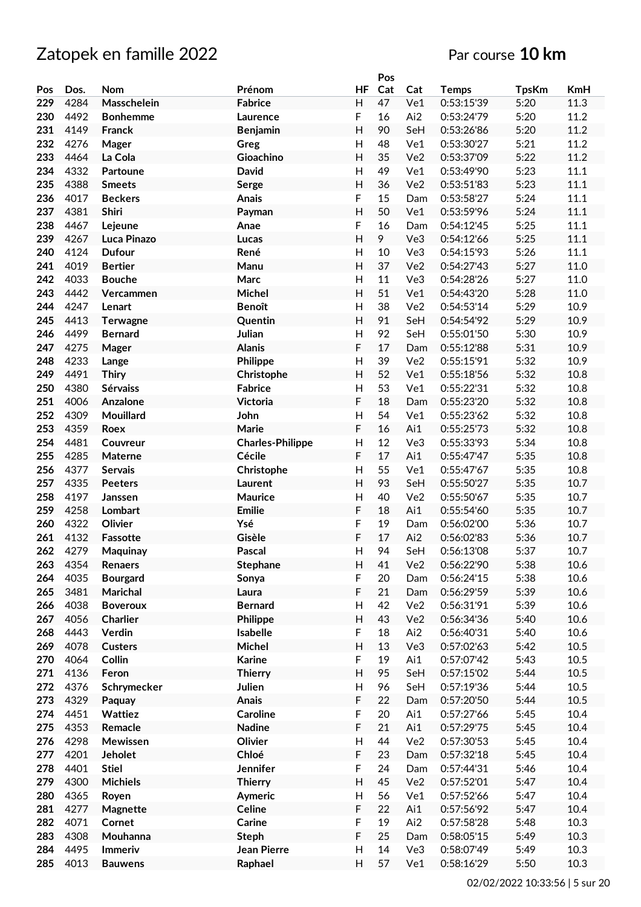|            |              |                            |                              |                           | Pos      |                 |                          |              |              |
|------------|--------------|----------------------------|------------------------------|---------------------------|----------|-----------------|--------------------------|--------------|--------------|
| Pos        | Dos.         | <b>Nom</b>                 | Prénom                       | HF                        | Cat      | Cat             | <b>Temps</b>             | <b>TpsKm</b> | <b>KmH</b>   |
| 229        | 4284         | Masschelein                | <b>Fabrice</b>               | H                         | 47       | Ve1             | 0:53:15'39               | 5:20         | 11.3         |
| 230        | 4492         | <b>Bonhemme</b>            | Laurence                     | F                         | 16       | Ai2             | 0:53:24'79               | 5:20         | 11.2         |
| 231        | 4149         | Franck                     | <b>Benjamin</b>              | $\overline{H}$            | 90       | SeH             | 0:53:26'86               | 5:20         | 11.2         |
| 232        | 4276         | Mager                      | Greg                         | $\mathsf{H}$              | 48       | Ve1             | 0:53:30'27               | 5:21         | 11.2         |
| 233        | 4464         | La Cola                    | Gioachino                    | $\mathsf{H}$              | 35       | Ve <sub>2</sub> | 0:53:37'09               | 5:22         | 11.2         |
| 234        | 4332         | Partoune                   | David                        | H                         | 49       | Ve1             | 0:53:49'90               | 5:23         | 11.1         |
| 235        | 4388         | <b>Smeets</b>              | Serge                        | H                         | 36       | Ve2             | 0:53:51'83               | 5:23         | 11.1         |
| 236        | 4017         | <b>Beckers</b>             | <b>Anais</b>                 | F                         | 15       | Dam             | 0:53:58'27               | 5:24         | 11.1         |
| 237        | 4381         | Shiri                      | Payman                       | $\overline{H}$            | 50       | Ve1             | 0:53:59'96               | 5:24         | 11.1         |
| 238        | 4467         | Lejeune                    | Anae                         | F                         | 16       | Dam             | 0:54:12'45               | 5:25         | 11.1         |
| 239        | 4267         | Luca Pinazo                | Lucas                        | $\overline{H}$            | 9        | Ve3             | 0:54:12'66               | 5:25         | 11.1         |
| 240        | 4124         | <b>Dufour</b>              | René                         | $\mathsf{H}$              | 10       | Ve3             | 0:54:15'93               | 5:26         | 11.1         |
| 241        | 4019         | <b>Bertier</b>             | Manu                         | $\overline{H}$            | 37       | Ve2             | 0:54:27'43               | 5:27         | 11.0         |
| 242        | 4033         | <b>Bouche</b>              | Marc                         | $\mathsf{H}$              | 11       | Ve3             | 0:54:28'26               | 5:27         | 11.0         |
| 243        | 4442         | Vercammen                  | Michel                       | $\overline{H}$            | 51       | Ve1             | 0:54:43'20               | 5:28         | 11.0         |
| 244        | 4247         | Lenart                     | <b>Benoît</b>                | Н                         | 38       | Ve <sub>2</sub> | 0:54:53'14               | 5:29         | 10.9         |
| 245        | 4413         | <b>Terwagne</b>            | Quentin                      | $\mathsf{H}$              | 91       | SeH             | 0:54:54'92               | 5:29         | 10.9         |
| 246        | 4499         | <b>Bernard</b>             | Julian                       | $\mathsf{H}$              | 92       | SeH             | 0:55:01'50               | 5:30         | 10.9         |
| 247        | 4275         | Mager                      | <b>Alanis</b>                | F                         | 17       | Dam             | 0:55:12'88               | 5:31         | 10.9         |
| 248        | 4233         |                            | Philippe                     | $\overline{H}$            | 39       | Ve2             | 0:55:15'91               | 5:32         | 10.9         |
| 249        | 4491         | Lange                      |                              | $\mathsf{H}$              | 52       | Ve1             | 0:55:18'56               | 5:32         | 10.8         |
| 250        | 4380         | <b>Thiry</b><br>Sérvaiss   | Christophe<br><b>Fabrice</b> | $\overline{H}$            | 53       | Ve1             | 0:55:22'31               | 5:32         | 10.8         |
| 251        | 4006         | Anzalone                   | <b>Victoria</b>              | F                         | 18       | Dam             | 0:55:23'20               | 5:32         | 10.8         |
| 252        | 4309         | Mouillard                  | John                         | $\mathsf{H}$              | 54       | Ve1             | 0:55:23'62               | 5:32         | 10.8         |
| 253        |              |                            |                              | F                         | 16       | Ai1             |                          | 5:32         | 10.8         |
| 254        | 4359         | Roex                       | Marie                        |                           | 12       |                 | 0:55:25'73               |              |              |
| 255        | 4481<br>4285 | Couvreur                   | <b>Charles-Philippe</b>      | Н<br>F                    | 17       | Ve3<br>Ai1      | 0:55:33'93               | 5:34         | 10.8<br>10.8 |
|            |              | Materne                    | Cécile                       |                           |          |                 | 0:55:47'47               | 5:35         |              |
| 256<br>257 | 4377<br>4335 | <b>Servais</b>             | Christophe                   | Н<br>$\overline{H}$       | 55<br>93 | Ve1<br>SeH      | 0:55:47'67<br>0:55:50'27 | 5:35<br>5:35 | 10.8<br>10.7 |
| 258        | 4197         | <b>Peeters</b>             | Laurent<br>Maurice           | $\mathsf{H}$              | 40       | Ve <sub>2</sub> | 0:55:50'67               | 5:35         | 10.7         |
| 259        | 4258         | Janssen<br>Lombart         | <b>Emilie</b>                | F                         | 18       | Ai1             | 0:55:54'60               | 5:35         | 10.7         |
| 260        | 4322         | Olivier                    | Ysé                          | F                         | 19       | Dam             | 0:56:02'00               | 5:36         | 10.7         |
| 261        | 4132         | Fassotte                   | Gisèle                       | F                         | 17       | Ai2             | 0:56:02'83               | 5:36         | 10.7         |
| 262        | 4279         |                            | Pascal                       | $\mathsf{H}$              | 94       | SeH             | 0:56:13'08               | 5:37         | 10.7         |
|            | 4354         | Maquinay                   |                              | H                         |          | Ve2             | 0:56:22'90               | 5:38         | 10.6         |
| 263<br>264 | 4035         | Renaers<br><b>Bourgard</b> | Stephane                     | F                         | 41<br>20 | Dam             | 0:56:24'15               | 5:38         | 10.6         |
| 265        | 3481         | Marichal                   | Sonya<br>Laura               | F                         | 21       | Dam             | 0:56:29'59               | 5:39         | 10.6         |
| 266        | 4038         | <b>Boveroux</b>            | <b>Bernard</b>               | H                         | 42       | Ve2             | 0:56:31'91               | 5:39         | 10.6         |
| 267        | 4056         | Charlier                   | <b>Philippe</b>              | $\boldsymbol{\mathsf{H}}$ | 43       | Ve2             | 0:56:34'36               | 5:40         | 10.6         |
| 268        | 4443         | Verdin                     | Isabelle                     | F                         | 18       | Ai2             | 0:56:40'31               | 5:40         | 10.6         |
| 269        | 4078         | <b>Custers</b>             | Michel                       | $\overline{\mathsf{H}}$   | 13       | Ve3             | 0:57:02'63               | 5:42         | $10.5$       |
| 270        | 4064         | Collin                     | <b>Karine</b>                | F                         | 19       | Ai1             | 0:57:07'42               | 5:43         | $10.5\,$     |
| 271        | 4136         | Feron                      | <b>Thierry</b>               | $\overline{\mathsf{H}}$   | 95       | SeH             | 0:57:15'02               | 5:44         | $10.5$       |
| 272        | 4376         | Schrymecker                | Julien                       | H                         | 96       | SeH             | 0:57:19'36               | 5:44         | $10.5$       |
| 273        | 4329         | Paquay                     | Anais                        | F                         | 22       | Dam             | 0:57:20'50               | 5:44         | 10.5         |
| 274        | 4451         | Wattiez                    | <b>Caroline</b>              | F                         | 20       | Ai1             | 0:57:27'66               | 5:45         | 10.4         |
| 275        | 4353         | Remacle                    | <b>Nadine</b>                | F                         | 21       | Ai1             | 0:57:29'75               | 5:45         | 10.4         |
| 276        | 4298         | Mewissen                   | Olivier                      | H                         | 44       | Ve2             | 0:57:30'53               | 5:45         | 10.4         |
| 277        | 4201         | <b>Jeholet</b>             | Chloé                        | F                         | 23       | Dam             | 0:57:32'18               | 5:45         | 10.4         |
| 278        | 4401         | <b>Stiel</b>               | Jennifer                     | F                         | 24       | Dam             | 0:57:44'31               | 5:46         | 10.4         |
| 279        | 4300         | <b>Michiels</b>            | <b>Thierry</b>               | $\mathsf{H}$              | 45       | Ve2             | 0:57:52'01               | 5:47         | 10.4         |
| 280        | 4365         | Royen                      | Aymeric                      | $\overline{\mathsf{H}}$   | 56       | Ve1             | 0:57:52'66               | 5:47         | 10.4         |
| 281        | 4277         | Magnette                   | Celine                       | F                         | 22       | Ai1             | 0:57:56'92               | 5:47         | 10.4         |
| 282        | 4071         | Cornet                     | Carine                       | F                         | 19       | Ai2             | 0:57:58'28               | 5:48         | 10.3         |
| 283        | 4308         | Mouhanna                   | <b>Steph</b>                 | F                         | 25       | Dam             | 0:58:05'15               | 5:49         | 10.3         |
| 284        | 4495         | Immeriv                    | Jean Pierre                  | H                         | 14       | Ve3             | 0:58:07'49               | 5:49         | 10.3         |
| 285        | 4013         | <b>Bauwens</b>             | Raphael                      | Н                         | 57       | Ve1             | 0:58:16'29               | 5:50         | 10.3         |
|            |              |                            |                              |                           |          |                 |                          |              |              |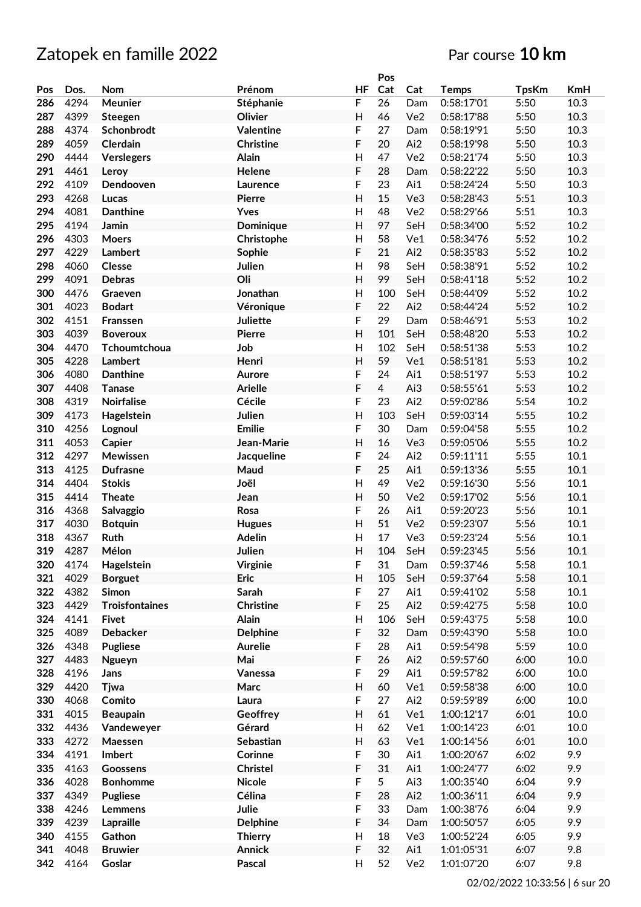|     |      |                       |                  |                           | Pos            |                 |              |              |            |
|-----|------|-----------------------|------------------|---------------------------|----------------|-----------------|--------------|--------------|------------|
| Pos | Dos. | <b>Nom</b>            | Prénom           | HF                        | Cat            | Cat             | <b>Temps</b> | <b>TpsKm</b> | <b>KmH</b> |
| 286 | 4294 | Meunier               | Stéphanie        | F                         | 26             | Dam             | 0:58:17'01   | 5:50         | 10.3       |
| 287 | 4399 | Steegen               | Olivier          | $\mathsf{H}$              | 46             | Ve <sub>2</sub> | 0:58:17'88   | 5:50         | 10.3       |
| 288 | 4374 | Schonbrodt            | <b>Valentine</b> | F                         | 27             | Dam             | 0:58:19'91   | 5:50         | 10.3       |
| 289 | 4059 | Clerdain              | <b>Christine</b> | F                         | 20             | Ai2             | 0:58:19'98   | 5:50         | 10.3       |
| 290 | 4444 | Verslegers            | Alain            | $\mathsf{H}$              | 47             | Ve2             | 0:58:21'74   | 5:50         | 10.3       |
| 291 | 4461 |                       | Helene           | F                         | 28             | Dam             | 0:58:22'22   | 5:50         | 10.3       |
| 292 |      | Leroy                 |                  |                           |                |                 |              |              |            |
|     | 4109 | Dendooven             | Laurence         | F                         | 23             | Ai1             | 0:58:24'24   | 5:50         | 10.3       |
| 293 | 4268 | Lucas                 | <b>Pierre</b>    | $\mathsf{H}$              | 15             | Ve3             | 0:58:28'43   | 5:51         | 10.3       |
| 294 | 4081 | <b>Danthine</b>       | Yves             | $\mathsf{H}$              | 48             | Ve2             | 0:58:29'66   | 5:51         | 10.3       |
| 295 | 4194 | Jamin                 | Dominique        | $\overline{H}$            | 97             | SeH             | 0:58:34'00   | 5:52         | 10.2       |
| 296 | 4303 | <b>Moers</b>          | Christophe       | $\mathsf{H}$              | 58             | Ve1             | 0:58:34'76   | 5:52         | 10.2       |
| 297 | 4229 | Lambert               | Sophie           | F                         | 21             | Ai2             | 0:58:35'83   | 5:52         | 10.2       |
| 298 | 4060 | <b>Clesse</b>         | Julien           | $\mathsf{H}$              | 98             | SeH             | 0:58:38'91   | 5:52         | 10.2       |
| 299 | 4091 | <b>Debras</b>         | Oli              | $\overline{H}$            | 99             | SeH             | 0:58:41'18   | 5:52         | 10.2       |
| 300 | 4476 | Graeven               | Jonathan         | $\mathsf{H}$              | 100            | SeH             | 0:58:44'09   | 5:52         | 10.2       |
| 301 | 4023 | <b>Bodart</b>         | Véronique        | F                         | 22             | Ai2             | 0:58:44'24   | 5:52         | 10.2       |
| 302 | 4151 | <b>Franssen</b>       | Juliette         | F                         | 29             | Dam             | 0:58:46'91   | 5:53         | 10.2       |
| 303 | 4039 | <b>Boveroux</b>       | Pierre           | $\mathsf{H}$              | 101            | SeH             | 0:58:48'20   | 5:53         | 10.2       |
| 304 | 4470 | Tchoumtchoua          | Job              | $\mathsf{H}$              | 102            | SeH             | 0:58:51'38   | 5:53         | 10.2       |
| 305 | 4228 | Lambert               | Henri            | $\overline{H}$            | 59             | Ve1             | 0:58:51'81   | 5:53         | 10.2       |
| 306 | 4080 | <b>Danthine</b>       | Aurore           | F                         | 24             | Ai1             | 0:58:51'97   | 5:53         | 10.2       |
|     |      |                       |                  |                           |                |                 |              |              |            |
| 307 | 4408 | <b>Tanase</b>         | <b>Arielle</b>   | F                         | $\overline{4}$ | Ai3             | 0:58:55'61   | 5:53         | 10.2       |
| 308 | 4319 | Noirfalise            | Cécile           | F                         | 23             | Ai2             | 0:59:02'86   | 5:54         | 10.2       |
| 309 | 4173 | Hagelstein            | Julien           | $\overline{H}$            | 103            | SeH             | 0:59:03'14   | 5:55         | 10.2       |
| 310 | 4256 | Lognoul               | <b>Emilie</b>    | F                         | 30             | Dam             | 0:59:04'58   | 5:55         | 10.2       |
| 311 | 4053 | Capier                | Jean-Marie       | $\mathsf{H}$              | 16             | Ve3             | 0:59:05'06   | 5:55         | 10.2       |
| 312 | 4297 | Mewissen              | Jacqueline       | F                         | 24             | Ai2             | 0:59:11'11   | 5:55         | 10.1       |
| 313 | 4125 | <b>Dufrasne</b>       | Maud             | F                         | 25             | Ai1             | 0:59:13'36   | 5:55         | 10.1       |
| 314 | 4404 | <b>Stokis</b>         | Joël             | $\mathsf{H}$              | 49             | Ve <sub>2</sub> | 0:59:16'30   | 5:56         | 10.1       |
| 315 | 4414 | <b>Theate</b>         | Jean             | $\overline{H}$            | 50             | Ve <sub>2</sub> | 0:59:17'02   | 5:56         | 10.1       |
| 316 | 4368 | Salvaggio             | Rosa             | F                         | 26             | Ai1             | 0:59:20'23   | 5:56         | $10.1\,$   |
| 317 | 4030 | <b>Botquin</b>        | <b>Hugues</b>    | $\overline{H}$            | 51             | Ve <sub>2</sub> | 0:59:23'07   | 5:56         | 10.1       |
| 318 | 4367 | <b>Ruth</b>           | <b>Adelin</b>    | $\mathsf{H}$              | 17             | Ve3             | 0:59:23'24   | 5:56         | 10.1       |
| 319 | 4287 | Mélon                 | Julien           | $\mathsf{H}$              | 104            | SeH             | 0:59:23'45   | 5:56         | 10.1       |
| 320 | 4174 | Hagelstein            | <b>Virginie</b>  | F                         | 31             | Dam             | 0:59:37'46   | 5:58         | 10.1       |
| 321 | 4029 | <b>Borguet</b>        | Eric             | $\mathsf{H}$              | 105            | SeH             | 0:59:37'64   | 5:58         | $10.1\,$   |
| 322 | 4382 | Simon                 | Sarah            | F                         | 27             | Ai1             | 0:59:41'02   | 5:58         | $10.1\,$   |
| 323 | 4429 | <b>Troisfontaines</b> | Christine        | F                         | 25             | Ai2             | 0:59:42'75   | 5:58         | 10.0       |
|     |      |                       |                  | $\mathsf{H}$              | 106            |                 |              |              |            |
| 324 | 4141 | <b>Fivet</b>          | <b>Alain</b>     |                           |                | SeH             | 0:59:43'75   | 5:58         | 10.0       |
| 325 | 4089 | Debacker              | <b>Delphine</b>  | F                         | 32             | Dam             | 0:59:43'90   | 5:58         | 10.0       |
| 326 | 4348 | <b>Pugliese</b>       | <b>Aurelie</b>   | F                         | 28             | Ai1             | 0:59:54'98   | 5:59         | 10.0       |
| 327 | 4483 | Ngueyn                | Mai              | F                         | 26             | Ai2             | 0:59:57'60   | 6:00         | 10.0       |
| 328 | 4196 | Jans                  | Vanessa          | F                         | 29             | Ai1             | 0:59:57'82   | 6:00         | 10.0       |
| 329 | 4420 | Tjwa                  | Marc             | $\overline{\mathsf{H}}$   | 60             | Ve1             | 0:59:58'38   | 6:00         | 10.0       |
| 330 | 4068 | Comito                | Laura            | F                         | 27             | Ai2             | 0:59:59'89   | 6:00         | 10.0       |
| 331 | 4015 | <b>Beaupain</b>       | Geoffrey         | $\mathsf{H}$              | 61             | Ve1             | 1:00:12'17   | 6:01         | 10.0       |
| 332 | 4436 | Vandeweyer            | Gérard           | $\mathsf{H}$              | 62             | Ve1             | 1:00:14'23   | 6:01         | 10.0       |
| 333 | 4272 | Maessen               | Sebastian        | $\boldsymbol{\mathsf{H}}$ | 63             | Ve1             | 1:00:14'56   | 6:01         | 10.0       |
| 334 | 4191 | Imbert                | Corinne          | F                         | 30             | Ai1             | 1:00:20'67   | 6:02         | 9.9        |
| 335 | 4163 | Goossens              | <b>Christel</b>  | F                         | 31             | Ai1             | 1:00:24'77   | 6:02         | 9.9        |
| 336 | 4028 | <b>Bonhomme</b>       | <b>Nicole</b>    | F                         | 5              | Ai3             | 1:00:35'40   | 6:04         | 9.9        |
| 337 | 4349 | <b>Pugliese</b>       | Célina           | F                         | 28             | Ai2             | 1:00:36'11   | 6:04         | 9.9        |
| 338 | 4246 | Lemmens               | Julie            | F                         | 33             | Dam             | 1:00:38'76   | 6:04         | 9.9        |
| 339 | 4239 | Lapraille             | <b>Delphine</b>  | F                         | 34             | Dam             | 1:00:50'57   | 6:05         | 9.9        |
| 340 | 4155 | Gathon                | <b>Thierry</b>   | $\mathsf{H}$              | 18             | Ve3             | 1:00:52'24   | 6:05         | 9.9        |
|     |      |                       |                  |                           |                |                 |              |              |            |
| 341 | 4048 | <b>Bruwier</b>        | <b>Annick</b>    | F                         | 32             | Ai1             | 1:01:05'31   | 6:07         | 9.8        |
| 342 | 4164 | Goslar                | Pascal           | Н                         | 52             | Ve2             | 1:01:07'20   | 6:07         | 9.8        |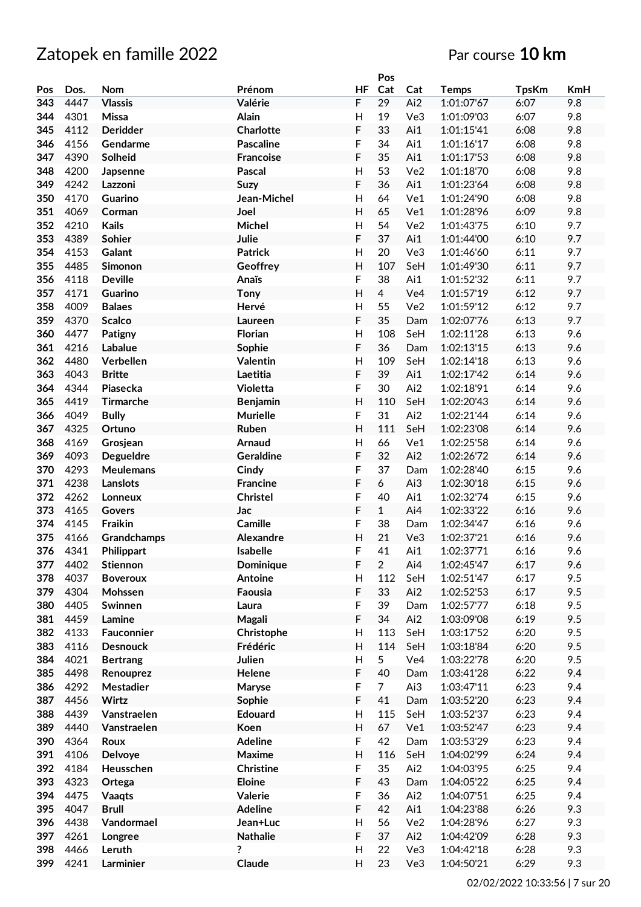|     |      |                  |                  |                         | Pos            |                 |              |              |            |
|-----|------|------------------|------------------|-------------------------|----------------|-----------------|--------------|--------------|------------|
| Pos | Dos. | <b>Nom</b>       | Prénom           | ΗF                      | Cat            | Cat             | <b>Temps</b> | <b>TpsKm</b> | <b>KmH</b> |
| 343 | 4447 | <b>Vlassis</b>   | Valérie          | F                       | 29             | Ai2             | 1:01:07'67   | 6:07         | 9.8        |
| 344 | 4301 | Missa            | Alain            | $\overline{H}$          | 19             | Ve3             | 1:01:09'03   | 6:07         | 9.8        |
| 345 | 4112 | <b>Deridder</b>  | Charlotte        | F                       | 33             | Ai1             | 1:01:15'41   | 6:08         | 9.8        |
|     |      |                  |                  |                         | 34             |                 | 1:01:16'17   |              |            |
| 346 | 4156 | Gendarme         | <b>Pascaline</b> | F                       |                | Ai1             |              | 6:08         | 9.8        |
| 347 | 4390 | Solheid          | <b>Francoise</b> | F                       | 35             | Ai1             | 1:01:17'53   | 6:08         | 9.8        |
| 348 | 4200 | Japsenne         | Pascal           | H                       | 53             | Ve2             | 1:01:18'70   | 6:08         | 9.8        |
| 349 | 4242 | Lazzoni          | Suzy             | F                       | 36             | Ai1             | 1:01:23'64   | 6:08         | 9.8        |
| 350 | 4170 | Guarino          | Jean-Michel      | Η                       | 64             | Ve1             | 1:01:24'90   | 6:08         | 9.8        |
| 351 | 4069 | Corman           | Joel             | Η                       | 65             | Ve1             | 1:01:28'96   | 6:09         | 9.8        |
| 352 | 4210 | <b>Kails</b>     | Michel           | $\overline{\mathsf{H}}$ | 54             | Ve <sub>2</sub> | 1:01:43'75   | 6:10         | 9.7        |
| 353 | 4389 | Sohier           | Julie            | F                       | 37             | Ai1             | 1:01:44'00   | 6:10         | 9.7        |
| 354 | 4153 | Galant           | <b>Patrick</b>   | $\overline{H}$          | 20             | Ve3             | 1:01:46'60   | 6:11         | 9.7        |
| 355 | 4485 | Simonon          | Geoffrey         | H                       | 107            | SeH             | 1:01:49'30   | 6:11         | 9.7        |
|     |      |                  |                  |                         |                |                 |              |              |            |
| 356 | 4118 | <b>Deville</b>   | Anaïs            | F                       | 38             | Ai1             | 1:01:52'32   | 6:11         | 9.7        |
| 357 | 4171 | Guarino          | Tony             | H                       | $\overline{4}$ | Ve4             | 1:01:57'19   | 6:12         | 9.7        |
| 358 | 4009 | <b>Balaes</b>    | Hervé            | H                       | 55             | Ve <sub>2</sub> | 1:01:59'12   | 6:12         | 9.7        |
| 359 | 4370 | <b>Scalco</b>    | Laureen          | F                       | 35             | Dam             | 1:02:07'76   | 6:13         | 9.7        |
| 360 | 4477 | Patigny          | Florian          | H                       | 108            | SeH             | 1:02:11'28   | 6:13         | 9.6        |
| 361 | 4216 | Labalue          | Sophie           | F                       | 36             | Dam             | 1:02:13'15   | 6:13         | 9.6        |
| 362 | 4480 | Verbellen        | <b>Valentin</b>  | $\overline{\mathsf{H}}$ | 109            | SeH             | 1:02:14'18   | 6:13         | 9.6        |
| 363 | 4043 | <b>Britte</b>    | Laetitia         | F                       | 39             | Ai1             | 1:02:17'42   | 6:14         | 9.6        |
| 364 | 4344 | Piasecka         | Violetta         | F                       | 30             | Ai2             | 1:02:18'91   | 6:14         | 9.6        |
| 365 | 4419 | <b>Tirmarche</b> |                  | H                       | 110            | SeH             | 1:02:20'43   | 6:14         | 9.6        |
|     |      |                  | <b>Benjamin</b>  |                         |                |                 |              |              |            |
| 366 | 4049 | <b>Bully</b>     | <b>Murielle</b>  | F                       | 31             | Ai2             | 1:02:21'44   | 6:14         | 9.6        |
| 367 | 4325 | Ortuno           | Ruben            | Η                       | 111            | SeH             | 1:02:23'08   | 6:14         | 9.6        |
| 368 | 4169 | Grosjean         | Arnaud           | H                       | 66             | Ve1             | 1:02:25'58   | 6:14         | 9.6        |
| 369 | 4093 | <b>Degueldre</b> | <b>Geraldine</b> | F                       | 32             | Ai2             | 1:02:26'72   | 6:14         | 9.6        |
| 370 | 4293 | <b>Meulemans</b> | Cindy            | F                       | 37             | Dam             | 1:02:28'40   | 6:15         | 9.6        |
| 371 | 4238 | Lanslots         | <b>Francine</b>  | F                       | 6              | Ai3             | 1:02:30'18   | 6:15         | 9.6        |
| 372 | 4262 | Lonneux          | Christel         | F                       | 40             | Ai1             | 1:02:32'74   | 6:15         | 9.6        |
| 373 | 4165 | Govers           | Jac              | F                       | $\mathbf{1}$   | Ai4             | 1:02:33'22   | 6:16         | 9.6        |
| 374 | 4145 | Fraikin          | Camille          | F                       | 38             | Dam             | 1:02:34'47   | 6:16         | 9.6        |
| 375 | 4166 | Grandchamps      | Alexandre        | $\overline{H}$          | 21             | Ve3             | 1:02:37'21   | 6:16         | 9.6        |
| 376 | 4341 | Philippart       | Isabelle         | F                       | 41             | Ai1             | 1:02:37'71   | 6:16         | 9.6        |
|     | 4402 |                  |                  |                         | $\overline{2}$ | Ai4             | 1:02:45'47   | 6:17         | 9.6        |
| 377 |      | Stiennon         | Dominique        | F                       |                |                 |              |              |            |
| 378 | 4037 | <b>Boveroux</b>  | Antoine          | H                       | 112            | SeH             | 1:02:51'47   | 6:17         | 9.5        |
| 379 | 4304 | Mohssen          | Faousia          | F                       | 33             | Ai2             | 1:02:52'53   | 6:17         | 9.5        |
| 380 | 4405 | Swinnen          | Laura            | F                       | 39             | Dam             | 1:02:57'77   | 6:18         | 9.5        |
| 381 | 4459 | Lamine           | Magali           | F                       | 34             | Ai2             | 1:03:09'08   | 6:19         | 9.5        |
| 382 | 4133 | Fauconnier       | Christophe       | $\mathsf{H}$            | 113            | SeH             | 1:03:17'52   | 6:20         | 9.5        |
| 383 | 4116 | <b>Desnouck</b>  | Frédéric         | H                       | 114            | SeH             | 1:03:18'84   | 6:20         | 9.5        |
| 384 | 4021 | <b>Bertrang</b>  | Julien           | $\mathsf{H}$            | 5              | Ve4             | 1:03:22'78   | 6:20         | 9.5        |
| 385 | 4498 | Renouprez        | Helene           | F                       | 40             | Dam             | 1:03:41'28   | 6:22         | 9.4        |
| 386 | 4292 | Mestadier        | Maryse           | F                       | $\overline{7}$ | Ai3             | 1:03:47'11   | 6:23         | 9.4        |
| 387 | 4456 | Wirtz            | Sophie           | F                       | 41             | Dam             | 1:03:52'20   | 6:23         | 9.4        |
| 388 | 4439 | Vanstraelen      | Edouard          | $\mathsf{H}$            | 115            | SeH             | 1:03:52'37   | 6:23         | 9.4        |
| 389 | 4440 |                  |                  | Н                       | 67             | Ve1             | 1:03:52'47   | 6:23         | 9.4        |
|     |      | Vanstraelen      | Koen             |                         |                |                 |              |              |            |
| 390 | 4364 | Roux             | <b>Adeline</b>   | F                       | 42             | Dam             | 1:03:53'29   | 6:23         | 9.4        |
| 391 | 4106 | Delvoye          | Maxime           | H                       | 116            | SeH             | 1:04:02'99   | 6:24         | 9.4        |
| 392 | 4184 | Heusschen        | Christine        | F                       | 35             | Ai2             | 1:04:03'95   | 6:25         | 9.4        |
| 393 | 4323 | Ortega           | Eloine           | F                       | 43             | Dam             | 1:04:05'22   | 6:25         | 9.4        |
| 394 | 4475 | Vaaqts           | Valerie          | F                       | 36             | Ai2             | 1:04:07'51   | 6:25         | 9.4        |
| 395 | 4047 | <b>Brull</b>     | <b>Adeline</b>   | F                       | 42             | Ai1             | 1:04:23'88   | 6:26         | 9.3        |
| 396 | 4438 | Vandormael       | Jean+Luc         | $\mathsf{H}$            | 56             | Ve2             | 1:04:28'96   | 6:27         | 9.3        |
| 397 | 4261 | Longree          | <b>Nathalie</b>  | F                       | 37             | Ai2             | 1:04:42'09   | 6:28         | 9.3        |
| 398 | 4466 | Leruth           | ?                | $\mathsf{H}%$           | 22             | Ve3             | 1:04:42'18   | 6:28         | 9.3        |
|     | 4241 |                  |                  |                         | 23             |                 |              |              |            |
| 399 |      | Larminier        | Claude           | H                       |                | Ve3             | 1:04:50'21   | 6:29         | 9.3        |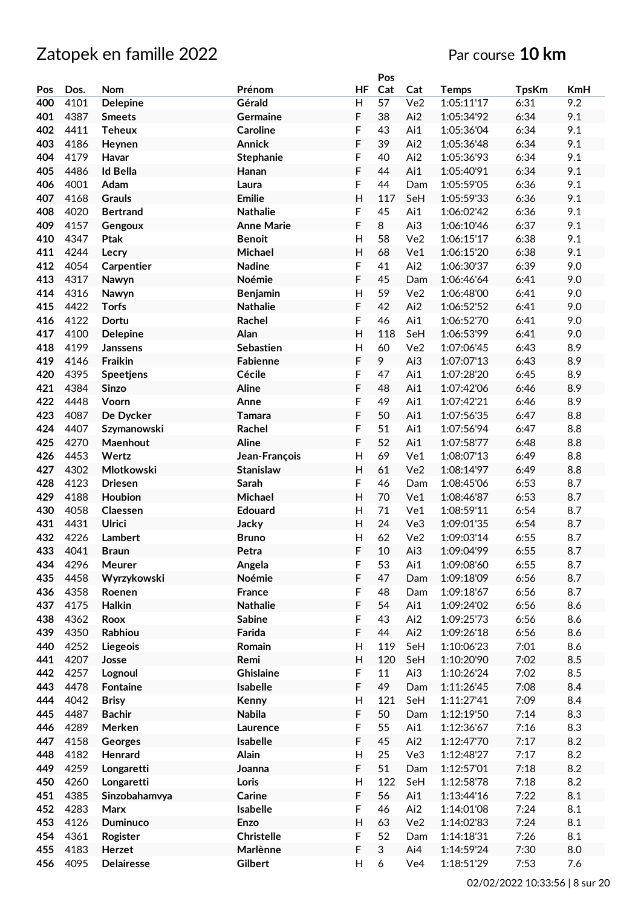|     |      |                   |                   |                         | Pos |                 |              |              |     |
|-----|------|-------------------|-------------------|-------------------------|-----|-----------------|--------------|--------------|-----|
| Pos | Dos. | Nom               | Prénom            | HF                      | Cat | Cat             | <b>Temps</b> | <b>TpsKm</b> | KmH |
| 400 | 4101 | <b>Delepine</b>   | Gérald            | H                       | 57  | Ve <sub>2</sub> | 1:05:11'17   | 6:31         | 9.2 |
| 401 | 4387 | <b>Smeets</b>     | <b>Germaine</b>   | F                       | 38  | Ai2             | 1:05:34'92   | 6:34         | 9.1 |
| 402 | 4411 | <b>Teheux</b>     | <b>Caroline</b>   | F                       | 43  | Ai1             | 1:05:36'04   | 6:34         | 9.1 |
| 403 | 4186 | Heynen            | <b>Annick</b>     | F                       | 39  | Ai2             | 1:05:36'48   | 6:34         | 9.1 |
| 404 | 4179 | Havar             | Stephanie         | F                       | 40  | Ai2             | 1:05:36'93   | 6:34         | 9.1 |
| 405 | 4486 | <b>Id Bella</b>   | Hanan             | F                       | 44  | Ai1             | 1:05:40'91   | 6:34         | 9.1 |
| 406 | 4001 | Adam              | Laura             | F                       | 44  | Dam             | 1:05:59'05   | 6:36         | 9.1 |
| 407 | 4168 | <b>Grauls</b>     | <b>Emilie</b>     | $\mathsf{H}$            | 117 | SeH             | 1:05:59'33   | 6:36         | 9.1 |
| 408 | 4020 | <b>Bertrand</b>   | <b>Nathalie</b>   | F                       | 45  | Ai1             | 1:06:02'42   | 6:36         | 9.1 |
| 409 | 4157 | Gengoux           | <b>Anne Marie</b> | F                       | 8   | Ai3             | 1:06:10'46   | 6:37         | 9.1 |
| 410 | 4347 | Ptak              | <b>Benoit</b>     | $\mathsf{H}$            | 58  | Ve <sub>2</sub> | 1:06:15'17   | 6:38         | 9.1 |
| 411 | 4244 |                   | Michael           | $\overline{H}$          | 68  | Ve1             | 1:06:15'20   | 6:38         | 9.1 |
| 412 | 4054 | Lecry             | <b>Nadine</b>     | F                       | 41  | Ai2             |              | 6:39         | 9.0 |
|     |      | Carpentier        |                   |                         |     |                 | 1:06:30'37   |              |     |
| 413 | 4317 | Nawyn             | Noémie            | F                       | 45  | Dam             | 1:06:46'64   | 6:41         | 9.0 |
| 414 | 4316 | Nawyn             | Benjamin          | $\mathsf{H}$            | 59  | Ve <sub>2</sub> | 1:06:48'00   | 6:41         | 9.0 |
| 415 | 4422 | <b>Torfs</b>      | <b>Nathalie</b>   | F                       | 42  | Ai2             | 1:06:52'52   | 6:41         | 9.0 |
| 416 | 4122 | Dortu             | Rachel            | F                       | 46  | Ai1             | 1:06:52'70   | 6:41         | 9.0 |
| 417 | 4100 | <b>Delepine</b>   | Alan              | $\overline{H}$          | 118 | SeH             | 1:06:53'99   | 6:41         | 9.0 |
| 418 | 4199 | <b>Janssens</b>   | Sebastien         | $\mathsf{H}$            | 60  | Ve <sub>2</sub> | 1:07:06'45   | 6:43         | 8.9 |
| 419 | 4146 | Fraikin           | <b>Fabienne</b>   | F                       | 9   | Ai3             | 1:07:07'13   | 6:43         | 8.9 |
| 420 | 4395 | Speetjens         | Cécile            | F                       | 47  | Ai1             | 1:07:28'20   | 6:45         | 8.9 |
| 421 | 4384 | <b>Sinzo</b>      | <b>Aline</b>      | F                       | 48  | Ai1             | 1:07:42'06   | 6:46         | 8.9 |
| 422 | 4448 | Voorn             | Anne              | F                       | 49  | Ai1             | 1:07:42'21   | 6:46         | 8.9 |
| 423 | 4087 | De Dycker         | Tamara            | F                       | 50  | Ai1             | 1:07:56'35   | 6:47         | 8.8 |
| 424 | 4407 | Szymanowski       | Rachel            | F                       | 51  | Ai1             | 1:07:56'94   | 6:47         | 8.8 |
| 425 | 4270 | Maenhout          | <b>Aline</b>      | F                       | 52  | Ai1             | 1:07:58'77   | 6:48         | 8.8 |
| 426 | 4453 | Wertz             | Jean-François     | H                       | 69  | Ve1             | 1:08:07'13   | 6:49         | 8.8 |
| 427 | 4302 | Mlotkowski        | <b>Stanislaw</b>  | H                       | 61  | Ve <sub>2</sub> | 1:08:14'97   | 6:49         | 8.8 |
| 428 | 4123 | <b>Driesen</b>    | Sarah             | F                       | 46  | Dam             | 1:08:45'06   | 6:53         | 8.7 |
| 429 | 4188 | Houbion           | Michael           | $\overline{H}$          | 70  | Ve1             | 1:08:46'87   | 6:53         | 8.7 |
| 430 | 4058 | Claessen          | <b>Edouard</b>    | $\mathsf{H}$            | 71  | Ve1             | 1:08:59'11   | 6:54         | 8.7 |
| 431 | 4431 | Ulrici            | Jacky             | $\overline{H}$          | 24  | Ve3             | 1:09:01'35   | 6:54         | 8.7 |
| 432 | 4226 | <b>Lambert</b>    | <b>Bruno</b>      | $\mathsf{H}$            | 62  | Ve2             | 1:09:03'14   | 6:55         | 8.7 |
| 433 | 4041 | <b>Braun</b>      | Petra             | F                       | 10  | Ai3             | 1:09:04'99   | 6:55         | 8.7 |
| 434 | 4296 | Meurer            | Angela            | F                       | 53  | Ai1             | 1:09:08'60   | 6:55         | 8.7 |
| 435 | 4458 | Wyrzykowski       | Noémie            | F                       | 47  | Dam             | 1:09:18'09   | 6:56         | 8.7 |
| 436 | 4358 | Roenen            | France            | F                       | 48  | Dam             | 1:09:18'67   | 6:56         | 8.7 |
| 437 | 4175 | Halkin            | <b>Nathalie</b>   | F                       | 54  | Ai1             | 1:09:24'02   | 6:56         | 8.6 |
| 438 | 4362 | Roox              | <b>Sabine</b>     | F                       | 43  | Ai2             | 1:09:25'73   | 6:56         | 8.6 |
| 439 | 4350 | Rabhiou           | Farida            | F                       | 44  | Ai2             | 1:09:26'18   | 6:56         | 8.6 |
| 440 | 4252 | Liegeois          | Romain            | $\mathsf{H}$            | 119 | SeH             | 1:10:06'23   | 7:01         | 8.6 |
| 441 | 4207 | Josse             | Remi              | $\overline{\mathsf{H}}$ | 120 | SeH             | 1:10:20'90   | 7:02         | 8.5 |
| 442 | 4257 | Lognoul           | Ghislaine         | F                       | 11  | Ai3             | 1:10:26'24   | 7:02         | 8.5 |
| 443 | 4478 | <b>Fontaine</b>   | Isabelle          | F                       | 49  | Dam             | 1:11:26'45   | 7:08         | 8.4 |
| 444 | 4042 | <b>Brisy</b>      | Kenny             | $\mathsf{H}$            | 121 | SeH             | 1:11:27'41   | 7:09         | 8.4 |
| 445 | 4487 | <b>Bachir</b>     | <b>Nabila</b>     | F                       | 50  | Dam             | 1:12:19'50   | 7:14         | 8.3 |
| 446 | 4289 | Merken            | Laurence          | F                       | 55  | Ai1             | 1:12:36'67   | 7:16         | 8.3 |
| 447 | 4158 | Georges           | Isabelle          | F                       | 45  | Ai2             | 1:12:47'70   | 7:17         | 8.2 |
| 448 | 4182 | Henrard           | Alain             | $\mathsf{H}$            | 25  | Ve3             | 1:12:48'27   | 7:17         | 8.2 |
| 449 | 4259 | Longaretti        | Joanna            | F                       | 51  | Dam             | 1:12:57'01   | 7:18         | 8.2 |
| 450 | 4260 | Longaretti        | Loris             | $\mathsf{H}$            | 122 | SeH             | 1:12:58'78   | 7:18         | 8.2 |
| 451 | 4385 | Sinzobahamvya     | Carine            | F                       | 56  | Ai1             | 1:13:44'16   | 7:22         | 8.1 |
| 452 | 4283 | Marx              | Isabelle          | F                       | 46  | Ai2             | 1:14:01'08   | 7:24         | 8.1 |
| 453 | 4126 | <b>Duminuco</b>   | Enzo              | $\overline{H}$          | 63  | Ve2             | 1:14:02'83   | 7:24         | 8.1 |
| 454 | 4361 |                   | <b>Christelle</b> | F                       | 52  |                 |              | 7:26         | 8.1 |
|     |      | Rogister          |                   |                         | 3   | Dam             | 1:14:18'31   |              |     |
| 455 | 4183 | Herzet            | Marlènne          | F                       |     | Ai4             | 1:14:59'24   | 7:30         | 8.0 |
| 456 | 4095 | <b>Delairesse</b> | Gilbert           | H                       | 6   | Ve4             | 1:18:51'29   | 7:53         | 7.6 |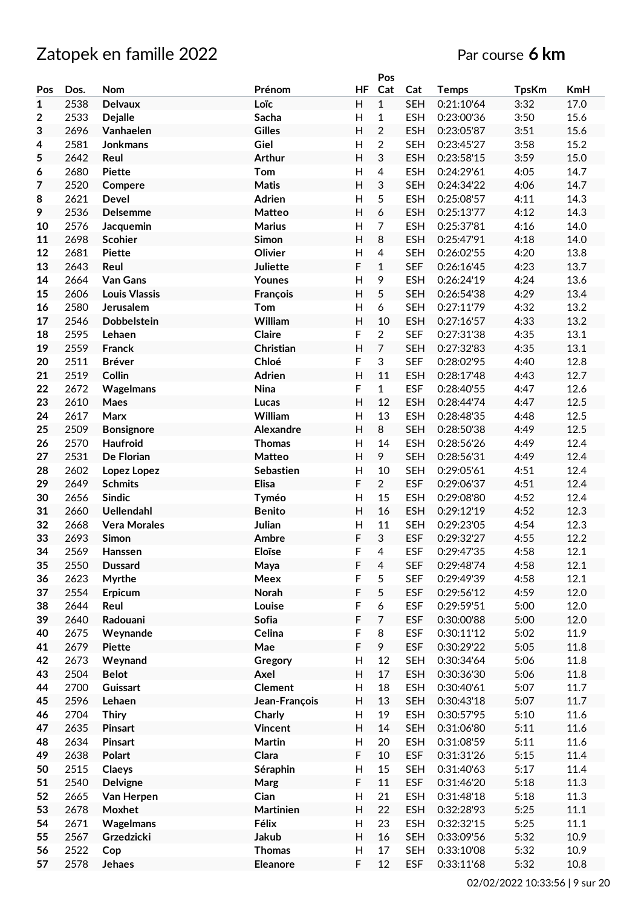# Zatopek en famille 2022 **Par course 6 km**

|                         |      |                      |                |                           | Pos            |            |              |              |            |
|-------------------------|------|----------------------|----------------|---------------------------|----------------|------------|--------------|--------------|------------|
| Pos                     | Dos. | Nom                  | Prénom         | HF                        | Cat            | Cat        | <b>Temps</b> | <b>TpsKm</b> | <b>KmH</b> |
| $\mathbf{1}$            | 2538 | <b>Delvaux</b>       | Loïc           | $\mathsf{H}$              | $\mathbf{1}$   | <b>SEH</b> | 0:21:10'64   | 3:32         | 17.0       |
| $\overline{\mathbf{2}}$ | 2533 | <b>Dejalle</b>       | Sacha          | H                         | $\mathbf{1}$   | <b>ESH</b> | 0:23:00'36   | 3:50         | 15.6       |
| 3                       | 2696 | Vanhaelen            | <b>Gilles</b>  | H                         | $\overline{2}$ | <b>ESH</b> | 0:23:05'87   | 3:51         | 15.6       |
| 4                       | 2581 | Jonkmans             | Giel           | H                         | $\overline{2}$ | <b>SEH</b> | 0:23:45'27   | 3:58         | 15.2       |
| 5                       | 2642 | Reul                 | <b>Arthur</b>  | H                         | 3              | <b>ESH</b> | 0:23:58'15   | 3:59         | 15.0       |
|                         | 2680 | <b>Piette</b>        | Tom            | H                         | 4              | <b>ESH</b> | 0:24:29'61   | 4:05         | 14.7       |
| 6                       |      |                      |                |                           |                |            |              |              |            |
| $\overline{7}$          | 2520 | Compere              | <b>Matis</b>   | H                         | 3              | <b>SEH</b> | 0:24:34'22   | 4:06         | 14.7       |
| 8                       | 2621 | Devel                | <b>Adrien</b>  | Н                         | 5              | <b>ESH</b> | 0:25:08'57   | 4:11         | 14.3       |
| 9                       | 2536 | <b>Delsemme</b>      | <b>Matteo</b>  | H                         | 6              | <b>ESH</b> | 0:25:13'77   | 4:12         | 14.3       |
| 10                      | 2576 | Jacquemin            | <b>Marius</b>  | $\mathsf{H}$              | $\overline{7}$ | <b>ESH</b> | 0:25:37'81   | 4:16         | 14.0       |
| 11                      | 2698 | <b>Scohier</b>       | Simon          | Н                         | 8              | <b>ESH</b> | 0:25:47'91   | 4:18         | 14.0       |
| 12                      | 2681 | <b>Piette</b>        | Olivier        | H                         | $\overline{4}$ | <b>SEH</b> | 0:26:02'55   | 4:20         | 13.8       |
| 13                      | 2643 | Reul                 | Juliette       | F                         | $\mathbf 1$    | <b>SEF</b> | 0:26:16'45   | 4:23         | 13.7       |
| 14                      | 2664 | Van Gans             | Younes         | Н                         | 9              | <b>ESH</b> | 0:26:24'19   | 4:24         | 13.6       |
| 15                      | 2606 | <b>Louis Vlassis</b> | François       | H                         | 5              | <b>SEH</b> | 0:26:54'38   | 4:29         | 13.4       |
| 16                      | 2580 | Jerusalem            | Tom            | H                         | 6              | <b>SEH</b> | 0:27:11'79   | 4:32         | 13.2       |
| 17                      | 2546 | Dobbelstein          | William        | H                         | 10             | <b>ESH</b> | 0:27:16'57   | 4:33         | 13.2       |
| 18                      | 2595 | Lehaen               | Claire         | F                         | $\overline{2}$ | <b>SEF</b> | 0:27:31'38   | 4:35         | 13.1       |
|                         |      |                      |                |                           |                |            |              |              |            |
| 19                      | 2559 | <b>Franck</b>        | Christian      | $\boldsymbol{\mathsf{H}}$ | $\overline{7}$ | <b>SEH</b> | 0:27:32'83   | 4:35         | 13.1       |
| 20                      | 2511 | <b>Bréver</b>        | Chloé          | F                         | 3              | <b>SEF</b> | 0:28:02'95   | 4:40         | 12.8       |
| 21                      | 2519 | Collin               | Adrien         | H                         | 11             | <b>ESH</b> | 0:28:17'48   | 4:43         | 12.7       |
| 22                      | 2672 | Wagelmans            | Nina           | F                         | $\mathbf{1}$   | <b>ESF</b> | 0:28:40'55   | 4:47         | 12.6       |
| 23                      | 2610 | Maes                 | Lucas          | H                         | 12             | <b>ESH</b> | 0:28:44'74   | 4:47         | 12.5       |
| 24                      | 2617 | Marx                 | William        | H                         | 13             | <b>ESH</b> | 0:28:48'35   | 4:48         | 12.5       |
| 25                      | 2509 | Bonsignore           | Alexandre      | H                         | 8              | <b>SEH</b> | 0:28:50'38   | 4:49         | 12.5       |
| 26                      | 2570 | <b>Haufroid</b>      | <b>Thomas</b>  | H                         | 14             | <b>ESH</b> | 0:28:56'26   | 4:49         | 12.4       |
| 27                      | 2531 | De Florian           | Matteo         | H                         | 9              | <b>SEH</b> | 0:28:56'31   | 4:49         | 12.4       |
| 28                      | 2602 | Lopez Lopez          | Sebastien      | Н                         | 10             | <b>SEH</b> | 0:29:05'61   | 4:51         | 12.4       |
| 29                      | 2649 | <b>Schmits</b>       | Elisa          | F                         | $\overline{2}$ | <b>ESF</b> | 0:29:06'37   | 4:51         | 12.4       |
| 30                      | 2656 | <b>Sindic</b>        |                | $\mathsf{H}$              | 15             | <b>ESH</b> | 0:29:08'80   | 4:52         | 12.4       |
|                         |      |                      | Tyméo          |                           |                |            |              |              |            |
| 31                      | 2660 | <b>Uellendahl</b>    | <b>Benito</b>  | Н                         | 16             | <b>ESH</b> | 0:29:12'19   | 4:52         | 12.3       |
| 32                      | 2668 | <b>Vera Morales</b>  | Julian         | Н                         | 11             | <b>SEH</b> | 0:29:23'05   | 4:54         | 12.3       |
| 33                      | 2693 | Simon                | Ambre          | F                         | 3              | <b>ESF</b> | 0:29:32'27   | 4:55         | 12.2       |
| 34                      | 2569 | Hanssen              | Eloïse         | F                         | 4              | <b>ESF</b> | 0:29:47'35   | 4:58         | 12.1       |
| 35                      | 2550 | <b>Dussard</b>       | Maya           | F                         | $\overline{4}$ | <b>SEF</b> | 0:29:48'74   | 4:58         | 12.1       |
| 36                      | 2623 | Myrthe               | Meex           | F                         | 5              | <b>SEF</b> | 0:29:49'39   | 4:58         | 12.1       |
| 37                      | 2554 | Erpicum              | Norah          | F                         | 5              | <b>ESF</b> | 0:29:56'12   | 4:59         | 12.0       |
| 38                      | 2644 | Reul                 | Louise         | F                         | 6              | <b>ESF</b> | 0:29:59'51   | 5:00         | 12.0       |
| 39                      | 2640 | Radouani             | Sofia          | F                         | $\overline{7}$ | <b>ESF</b> | 0:30:00'88   | 5:00         | 12.0       |
| 40                      | 2675 | Weynande             | Celina         | F                         | 8              | <b>ESF</b> | 0:30:11'12   | 5:02         | 11.9       |
| 41                      | 2679 | <b>Piette</b>        | Mae            | F                         | 9              | <b>ESF</b> | 0:30:29'22   | 5:05         | 11.8       |
| 42                      | 2673 | Weynand              | Gregory        | H                         | 12             | <b>SEH</b> | 0:30:34'64   | 5:06         | 11.8       |
| 43                      | 2504 | <b>Belot</b>         | Axel           | H                         | 17             | <b>ESH</b> | 0:30:36'30   | 5:06         | 11.8       |
| 44                      | 2700 | Guissart             | <b>Clement</b> | Н                         | 18             | <b>ESH</b> | 0:30:40'61   | 5:07         | 11.7       |
|                         |      |                      |                |                           |                |            |              |              |            |
| 45                      | 2596 | Lehaen               | Jean-François  | H                         | 13             | <b>SEH</b> | 0:30:43'18   | 5:07         | 11.7       |
| 46                      | 2704 | <b>Thiry</b>         | Charly         | Н                         | 19             | <b>ESH</b> | 0:30:57'95   | 5:10         | 11.6       |
| 47                      | 2635 | Pinsart              | <b>Vincent</b> | H                         | 14             | <b>SEH</b> | 0:31:06'80   | 5:11         | 11.6       |
| 48                      | 2634 | <b>Pinsart</b>       | Martin         | H                         | 20             | <b>ESH</b> | 0:31:08'59   | 5:11         | 11.6       |
| 49                      | 2638 | Polart               | Clara          | F                         | 10             | <b>ESF</b> | 0:31:31'26   | 5:15         | 11.4       |
| 50                      | 2515 | Claeys               | Séraphin       | H                         | 15             | <b>SEH</b> | 0:31:40'63   | 5:17         | 11.4       |
| 51                      | 2540 | <b>Delvigne</b>      | Marg           | F                         | 11             | <b>ESF</b> | 0:31:46'20   | 5:18         | 11.3       |
| 52                      | 2665 | Van Herpen           | Cian           | Н                         | 21             | <b>ESH</b> | 0:31:48'18   | 5:18         | 11.3       |
| 53                      | 2678 | Moxhet               | Martinien      | H                         | 22             | <b>ESH</b> | 0:32:28'93   | 5:25         | 11.1       |
| 54                      | 2671 | Wagelmans            | Félix          | Н                         | 23             | <b>ESH</b> | 0:32:32'15   | 5:25         | 11.1       |
| 55                      | 2567 | Grzedzicki           | <b>Jakub</b>   | H                         | 16             | <b>SEH</b> | 0:33:09'56   | 5:32         | 10.9       |
|                         |      |                      | <b>Thomas</b>  |                           | 17             |            |              |              | 10.9       |
| 56                      | 2522 | Cop                  |                | Н                         |                | <b>SEH</b> | 0:33:10'08   | 5:32         |            |
| 57                      | 2578 | Jehaes               | Eleanore       | F                         | 12             | <b>ESF</b> | 0:33:11'68   | 5:32         | 10.8       |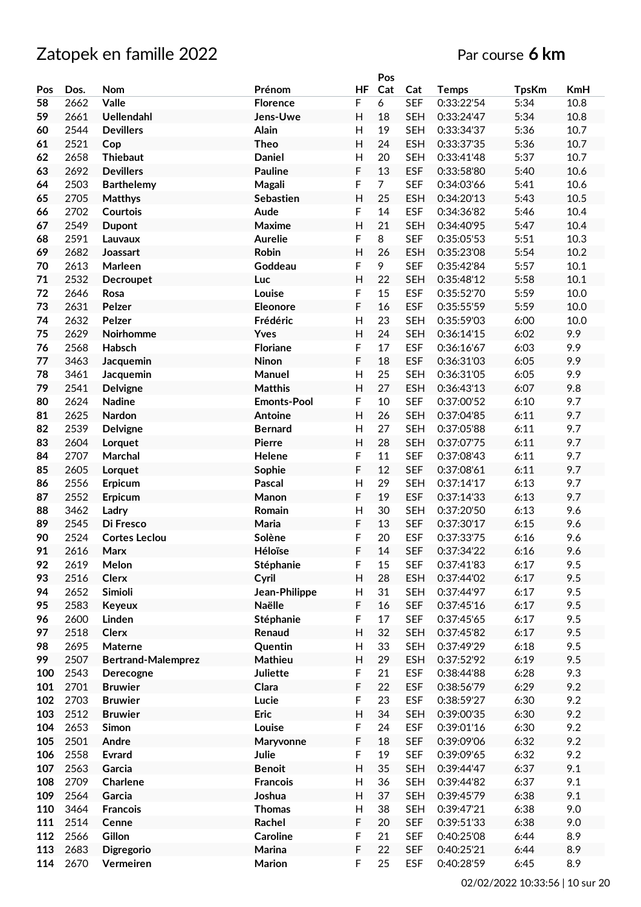|     |      |                           |                    |                           | Pos            |            |              |              |      |
|-----|------|---------------------------|--------------------|---------------------------|----------------|------------|--------------|--------------|------|
| Pos | Dos. | Nom                       | Prénom             | <b>HF</b>                 | Cat            | Cat        | <b>Temps</b> | <b>TpsKm</b> | KmH  |
| 58  | 2662 | Valle                     | <b>Florence</b>    | F                         | 6              | <b>SEF</b> | 0:33:22'54   | 5:34         | 10.8 |
| 59  | 2661 | <b>Uellendahl</b>         | Jens-Uwe           | $\mathsf{H}$              | 18             | <b>SEH</b> | 0:33:24'47   | 5:34         | 10.8 |
| 60  | 2544 | <b>Devillers</b>          | Alain              | $\mathsf{H}$              | 19             | <b>SEH</b> | 0:33:34'37   | 5:36         | 10.7 |
| 61  | 2521 | Cop                       | <b>Theo</b>        | $\mathsf{H}$              | 24             | <b>ESH</b> | 0:33:37'35   | 5:36         | 10.7 |
| 62  | 2658 | <b>Thiebaut</b>           | <b>Daniel</b>      | $\mathsf{H}$              | 20             | <b>SEH</b> | 0:33:41'48   | 5:37         | 10.7 |
| 63  | 2692 | <b>Devillers</b>          | <b>Pauline</b>     | F                         | 13             | <b>ESF</b> | 0:33:58'80   | 5:40         | 10.6 |
| 64  | 2503 | <b>Barthelemy</b>         | Magali             | F                         | $\overline{7}$ | <b>SEF</b> | 0:34:03'66   | 5:41         | 10.6 |
| 65  | 2705 | <b>Matthys</b>            | Sebastien          | $\mathsf{H}$              | 25             | <b>ESH</b> | 0:34:20'13   | 5:43         | 10.5 |
| 66  | 2702 | <b>Courtois</b>           | Aude               | F                         | 14             | <b>ESF</b> | 0:34:36'82   | 5:46         | 10.4 |
| 67  | 2549 | <b>Dupont</b>             | Maxime             | $\overline{\mathsf{H}}$   | 21             | <b>SEH</b> | 0:34:40'95   | 5:47         | 10.4 |
| 68  | 2591 | Lauvaux                   | <b>Aurelie</b>     | F                         | 8              | <b>SEF</b> | 0:35:05'53   | 5:51         | 10.3 |
| 69  | 2682 | Joassart                  | Robin              | $\overline{H}$            | 26             | <b>ESH</b> | 0:35:23'08   | 5:54         | 10.2 |
| 70  | 2613 | Marleen                   | Goddeau            | F                         | 9              | <b>SEF</b> | 0:35:42'84   | 5:57         | 10.1 |
|     | 2532 |                           |                    | $\overline{H}$            | 22             | <b>SEH</b> | 0:35:48'12   |              | 10.1 |
| 71  |      | Decroupet                 | Luc                |                           |                |            | 0:35:52'70   | 5:58         |      |
| 72  | 2646 | Rosa<br>Pelzer            | Louise             | F                         | 15             | <b>ESF</b> |              | 5:59         | 10.0 |
| 73  | 2631 |                           | Eleonore           | F                         | 16             | <b>ESF</b> | 0:35:55'59   | 5:59         | 10.0 |
| 74  | 2632 | <b>Pelzer</b>             | Frédéric           | H                         | 23             | <b>SEH</b> | 0:35:59'03   | 6:00         | 10.0 |
| 75  | 2629 | Noirhomme                 | Yves               | $\mathsf{H}$              | 24             | <b>SEH</b> | 0:36:14'15   | 6:02         | 9.9  |
| 76  | 2568 | Habsch                    | <b>Floriane</b>    | F                         | 17             | <b>ESF</b> | 0:36:16'67   | 6:03         | 9.9  |
| 77  | 3463 | Jacquemin                 | Ninon              | F                         | 18             | <b>ESF</b> | 0:36:31'03   | 6:05         | 9.9  |
| 78  | 3461 | Jacquemin                 | Manuel             | $\overline{H}$            | 25             | <b>SEH</b> | 0:36:31'05   | 6:05         | 9.9  |
| 79  | 2541 | Delvigne                  | <b>Matthis</b>     | $\mathsf{H}$              | 27             | <b>ESH</b> | 0:36:43'13   | 6:07         | 9.8  |
| 80  | 2624 | <b>Nadine</b>             | <b>Emonts-Pool</b> | F                         | 10             | <b>SEF</b> | 0:37:00'52   | 6:10         | 9.7  |
| 81  | 2625 | Nardon                    | Antoine            | $\mathsf{H}$              | 26             | <b>SEH</b> | 0:37:04'85   | 6:11         | 9.7  |
| 82  | 2539 | <b>Delvigne</b>           | <b>Bernard</b>     | Н                         | 27             | <b>SEH</b> | 0:37:05'88   | 6:11         | 9.7  |
| 83  | 2604 | Lorquet                   | <b>Pierre</b>      | Н                         | 28             | <b>SEH</b> | 0:37:07'75   | 6:11         | 9.7  |
| 84  | 2707 | Marchal                   | Helene             | F                         | 11             | <b>SEF</b> | 0:37:08'43   | 6:11         | 9.7  |
| 85  | 2605 | Lorquet                   | Sophie             | F                         | 12             | <b>SEF</b> | 0:37:08'61   | 6:11         | 9.7  |
| 86  | 2556 | Erpicum                   | Pascal             | $\mathsf{H}$              | 29             | <b>SEH</b> | 0:37:14'17   | 6:13         | 9.7  |
| 87  | 2552 | Erpicum                   | Manon              | F                         | 19             | <b>ESF</b> | 0:37:14'33   | 6:13         | 9.7  |
| 88  | 3462 | Ladry                     | Romain             | $\mathsf{H}$              | 30             | <b>SEH</b> | 0:37:20'50   | 6:13         | 9.6  |
| 89  | 2545 | Di Fresco                 | Maria              | F                         | 13             | <b>SEF</b> | 0:37:30'17   | 6:15         | 9.6  |
| 90  | 2524 | <b>Cortes Leclou</b>      | Solène             | F                         | 20             | <b>ESF</b> | 0:37:33'75   | 6:16         | 9.6  |
| 91  | 2616 | Marx                      | Héloïse            | F                         | 14             | <b>SEF</b> | 0:37:34'22   | 6:16         | 9.6  |
| 92  | 2619 | Melon                     | Stéphanie          | F                         | 15             | <b>SEF</b> | 0:37:41'83   | 6:17         | 9.5  |
| 93  | 2516 | <b>Clerx</b>              | Cyril              | Н                         | 28             | <b>ESH</b> | 0:37:44'02   | 6:17         | 9.5  |
| 94  | 2652 | Simioli                   | Jean-Philippe      | H                         | 31             | <b>SEH</b> | 0:37:44'97   | 6:17         | 9.5  |
| 95  | 2583 | <b>Keyeux</b>             | Naëlle             | F                         | 16             | <b>SEF</b> | 0:37:45'16   | 6:17         | 9.5  |
| 96  | 2600 | Linden                    | Stéphanie          | F                         | 17             | <b>SEF</b> | 0:37:45'65   | 6:17         | 9.5  |
| 97  | 2518 | <b>Clerx</b>              | Renaud             | $\boldsymbol{\mathsf{H}}$ | 32             | <b>SEH</b> | 0:37:45'82   | 6:17         | 9.5  |
| 98  | 2695 | Materne                   | Quentin            | $\mathsf{H}$              | 33             | <b>SEH</b> | 0:37:49'29   | 6:18         | 9.5  |
| 99  | 2507 | <b>Bertrand-Malemprez</b> | Mathieu            | $\overline{\mathsf{H}}$   | 29             | <b>ESH</b> | 0:37:52'92   | 6:19         | 9.5  |
| 100 | 2543 | Derecogne                 | <b>Juliette</b>    | F                         | 21             | <b>ESF</b> | 0:38:44'88   | 6:28         | 9.3  |
| 101 | 2701 | <b>Bruwier</b>            | Clara              | F                         | 22             | <b>ESF</b> | 0:38:56'79   | 6:29         | 9.2  |
| 102 | 2703 | <b>Bruwier</b>            | Lucie              | F                         | 23             | <b>ESF</b> | 0:38:59'27   | 6:30         | 9.2  |
| 103 | 2512 | <b>Bruwier</b>            | Eric               | $\mathsf{H}$              | 34             | <b>SEH</b> | 0:39:00'35   | 6:30         | 9.2  |
| 104 | 2653 | Simon                     | Louise             | F                         | 24             | <b>ESF</b> | 0:39:01'16   | 6:30         | 9.2  |
| 105 | 2501 | Andre                     | Maryvonne          | F                         | 18             | <b>SEF</b> | 0:39:09'06   | 6:32         | 9.2  |
| 106 | 2558 | <b>Evrard</b>             | Julie              | F                         | 19             | <b>SEF</b> | 0:39:09'65   | 6:32         | 9.2  |
| 107 | 2563 | Garcia                    | <b>Benoit</b>      | $\boldsymbol{\mathsf{H}}$ | 35             | <b>SEH</b> | 0:39:44'47   | 6:37         | 9.1  |
| 108 | 2709 | <b>Charlene</b>           | <b>Francois</b>    | $\mathsf{H}$              | 36             | <b>SEH</b> | 0:39:44'82   | 6:37         | 9.1  |
| 109 | 2564 | Garcia                    | Joshua             | $\boldsymbol{\mathsf{H}}$ | 37             | <b>SEH</b> | 0:39:45'79   | 6:38         | 9.1  |
| 110 | 3464 | <b>Francois</b>           | <b>Thomas</b>      | Н                         | 38             | <b>SEH</b> | 0:39:47'21   | 6:38         | 9.0  |
| 111 | 2514 | Cenne                     | Rachel             | F                         | 20             | <b>SEF</b> | 0:39:51'33   | 6:38         | 9.0  |
| 112 | 2566 | <b>Gillon</b>             | Caroline           | F                         | 21             | <b>SEF</b> | 0:40:25'08   | 6:44         | 8.9  |
| 113 | 2683 | Digregorio                | Marina             | F                         | 22             | <b>SEF</b> | 0:40:25'21   | 6:44         | 8.9  |
| 114 | 2670 | Vermeiren                 | Marion             | F                         | 25             | <b>ESF</b> | 0:40:28'59   | 6:45         | 8.9  |
|     |      |                           |                    |                           |                |            |              |              |      |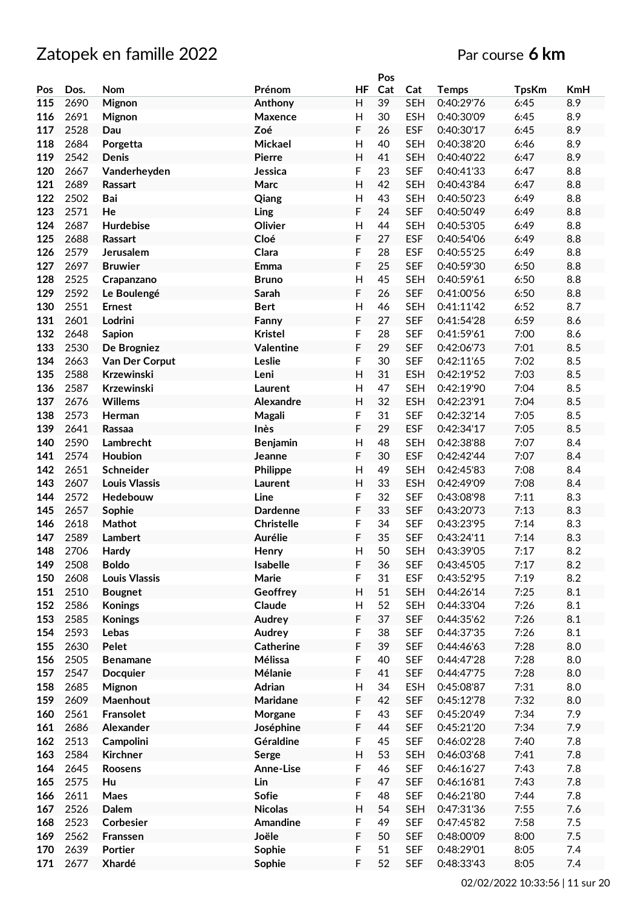|     |      |                      |                  |                | Pos |            |              |              |     |
|-----|------|----------------------|------------------|----------------|-----|------------|--------------|--------------|-----|
| Pos | Dos. | Nom                  | Prénom           | ΗF             | Cat | Cat        | <b>Temps</b> | <b>TpsKm</b> | KmH |
| 115 | 2690 | Mignon               | Anthony          | H              | 39  | <b>SEH</b> | 0:40:29'76   | 6:45         | 8.9 |
| 116 | 2691 | <b>Mignon</b>        | Maxence          | H              | 30  | <b>ESH</b> | 0:40:30'09   | 6:45         | 8.9 |
| 117 | 2528 | Dau                  | Zoé              | F              | 26  | <b>ESF</b> | 0:40:30'17   | 6:45         | 8.9 |
| 118 | 2684 | Porgetta             | Mickael          | Η              | 40  | <b>SEH</b> | 0:40:38'20   | 6:46         | 8.9 |
| 119 | 2542 | Denis                | <b>Pierre</b>    | H              | 41  | <b>SEH</b> | 0:40:40'22   | 6:47         | 8.9 |
| 120 | 2667 | Vanderheyden         | Jessica          | F              | 23  | <b>SEF</b> | 0:40:41'33   | 6:47         | 8.8 |
| 121 | 2689 |                      | Marc             | $\overline{H}$ | 42  | <b>SEH</b> | 0:40:43'84   | 6:47         | 8.8 |
|     |      | Rassart              |                  |                |     |            |              |              |     |
| 122 | 2502 | Bai                  | Qiang            | H              | 43  | <b>SEH</b> | 0:40:50'23   | 6:49         | 8.8 |
| 123 | 2571 | He                   | Ling             | F              | 24  | <b>SEF</b> | 0:40:50'49   | 6:49         | 8.8 |
| 124 | 2687 | Hurdebise            | Olivier          | H              | 44  | <b>SEH</b> | 0:40:53'05   | 6:49         | 8.8 |
| 125 | 2688 | Rassart              | Cloé             | F              | 27  | <b>ESF</b> | 0:40:54'06   | 6:49         | 8.8 |
| 126 | 2579 | Jerusalem            | Clara            | F              | 28  | <b>ESF</b> | 0:40:55'25   | 6:49         | 8.8 |
| 127 | 2697 | <b>Bruwier</b>       | Emma             | F              | 25  | <b>SEF</b> | 0:40:59'30   | 6:50         | 8.8 |
| 128 | 2525 | Crapanzano           | <b>Bruno</b>     | $\mathsf{H}$   | 45  | <b>SEH</b> | 0:40:59'61   | 6:50         | 8.8 |
| 129 | 2592 | Le Boulengé          | Sarah            | F              | 26  | <b>SEF</b> | 0:41:00'56   | 6:50         | 8.8 |
| 130 | 2551 | <b>Ernest</b>        | <b>Bert</b>      | Η              | 46  | <b>SEH</b> | 0:41:11'42   | 6:52         | 8.7 |
| 131 | 2601 | Lodrini              | Fanny            | F              | 27  | <b>SEF</b> | 0:41:54'28   | 6:59         | 8.6 |
| 132 | 2648 | <b>Sapion</b>        | <b>Kristel</b>   | F              | 28  | <b>SEF</b> | 0:41:59'61   | 7:00         | 8.6 |
| 133 | 2530 | De Brogniez          | <b>Valentine</b> | F              | 29  | <b>SEF</b> | 0:42:06'73   | 7:01         | 8.5 |
|     |      |                      |                  | F              | 30  |            |              | 7:02         |     |
| 134 | 2663 | Van Der Corput       | Leslie           |                |     | <b>SEF</b> | 0:42:11'65   |              | 8.5 |
| 135 | 2588 | Krzewinski           | Leni             | H              | 31  | <b>ESH</b> | 0:42:19'52   | 7:03         | 8.5 |
| 136 | 2587 | Krzewinski           | Laurent          | $\mathsf{H}$   | 47  | <b>SEH</b> | 0:42:19'90   | 7:04         | 8.5 |
| 137 | 2676 | <b>Willems</b>       | Alexandre        | H              | 32  | <b>ESH</b> | 0:42:23'91   | 7:04         | 8.5 |
| 138 | 2573 | Herman               | Magali           | F              | 31  | <b>SEF</b> | 0:42:32'14   | 7:05         | 8.5 |
| 139 | 2641 | Rassaa               | Inès             | F              | 29  | <b>ESF</b> | 0:42:34'17   | 7:05         | 8.5 |
| 140 | 2590 | Lambrecht            | <b>Benjamin</b>  | Η              | 48  | <b>SEH</b> | 0:42:38'88   | 7:07         | 8.4 |
| 141 | 2574 | Houbion              | Jeanne           | F              | 30  | <b>ESF</b> | 0:42:42'44   | 7:07         | 8.4 |
| 142 | 2651 | Schneider            | Philippe         | Η              | 49  | <b>SEH</b> | 0:42:45'83   | 7:08         | 8.4 |
| 143 | 2607 | <b>Louis Vlassis</b> | Laurent          | Η              | 33  | <b>ESH</b> | 0:42:49'09   | 7:08         | 8.4 |
| 144 | 2572 | Hedebouw             | Line             | F              | 32  | <b>SEF</b> | 0:43:08'98   | 7:11         | 8.3 |
| 145 | 2657 | Sophie               | <b>Dardenne</b>  | F              | 33  | <b>SEF</b> | 0:43:20'73   | 7:13         | 8.3 |
| 146 | 2618 | Mathot               | Christelle       | F              | 34  | <b>SEF</b> | 0:43:23'95   | 7:14         | 8.3 |
| 147 | 2589 | <b>Lambert</b>       | Aurélie          | F              | 35  | <b>SEF</b> | 0:43:24'11   | 7:14         | 8.3 |
| 148 | 2706 | Hardy                | Henry            | H              | 50  | <b>SEH</b> | 0:43:39'05   | 7:17         | 8.2 |
|     |      |                      | Isabelle         |                |     |            |              |              | 8.2 |
| 149 | 2508 | <b>Boldo</b>         |                  | F              | 36  | <b>SEF</b> | 0:43:45'05   | 7:17         |     |
| 150 | 2608 | <b>Louis Vlassis</b> | Marie            | F              | 31  | <b>ESF</b> | 0:43:52'95   | 7:19         | 8.2 |
| 151 | 2510 | <b>Bougnet</b>       | Geoffrey         | Н              | 51  | <b>SEH</b> | 0:44:26'14   | 7:25         | 8.1 |
| 152 | 2586 | <b>Konings</b>       | Claude           | H              | 52  | <b>SEH</b> | 0:44:33'04   | 7:26         | 8.1 |
| 153 | 2585 | <b>Konings</b>       | Audrey           | F              | 37  | <b>SEF</b> | 0:44:35'62   | 7:26         | 8.1 |
| 154 | 2593 | Lebas                | Audrey           | F              | 38  | <b>SEF</b> | 0:44:37'35   | 7:26         | 8.1 |
| 155 | 2630 | Pelet                | <b>Catherine</b> | F              | 39  | <b>SEF</b> | 0:44:46'63   | 7:28         | 8.0 |
| 156 | 2505 | <b>Benamane</b>      | Mélissa          | F              | 40  | <b>SEF</b> | 0:44:47'28   | 7:28         | 8.0 |
| 157 | 2547 | <b>Docquier</b>      | Mélanie          | F              | 41  | <b>SEF</b> | 0:44:47'75   | 7:28         | 8.0 |
| 158 | 2685 | Mignon               | Adrian           | $\mathsf{H}%$  | 34  | <b>ESH</b> | 0:45:08'87   | 7:31         | 8.0 |
| 159 | 2609 | Maenhout             | Maridane         | F              | 42  | <b>SEF</b> | 0:45:12'78   | 7:32         | 8.0 |
| 160 | 2561 | Fransolet            | Morgane          | F              | 43  | <b>SEF</b> | 0:45:20'49   | 7:34         | 7.9 |
| 161 | 2686 | Alexander            | Joséphine        | F              | 44  | <b>SEF</b> | 0:45:21'20   | 7:34         | 7.9 |
| 162 | 2513 | Campolini            | Géraldine        | F              | 45  | <b>SEF</b> | 0:46:02'28   | 7:40         | 7.8 |
| 163 | 2584 | Kirchner             | Serge            | H              | 53  | <b>SEH</b> | 0:46:03'68   | 7:41         | 7.8 |
| 164 | 2645 |                      |                  | F              | 46  | <b>SEF</b> |              |              | 7.8 |
|     |      | Roosens              | Anne-Lise        |                |     |            | 0:46:16'27   | 7:43         |     |
| 165 | 2575 | Hu                   | Lin              | F              | 47  | <b>SEF</b> | 0:46:16'81   | 7:43         | 7.8 |
| 166 | 2611 | Maes                 | Sofie            | F              | 48  | <b>SEF</b> | 0:46:21'80   | 7:44         | 7.8 |
| 167 | 2526 | Dalem                | <b>Nicolas</b>   | H              | 54  | <b>SEH</b> | 0:47:31'36   | 7:55         | 7.6 |
| 168 | 2523 | Corbesier            | Amandine         | F              | 49  | <b>SEF</b> | 0:47:45'82   | 7:58         | 7.5 |
| 169 | 2562 | Franssen             | Joële            | F              | 50  | <b>SEF</b> | 0:48:00'09   | 8:00         | 7.5 |
| 170 | 2639 | <b>Portier</b>       | Sophie           | F              | 51  | <b>SEF</b> | 0:48:29'01   | 8:05         | 7.4 |
| 171 | 2677 | Xhardé               | Sophie           | F              | 52  | <b>SEF</b> | 0:48:33'43   | 8:05         | 7.4 |
|     |      |                      |                  |                |     |            |              |              |     |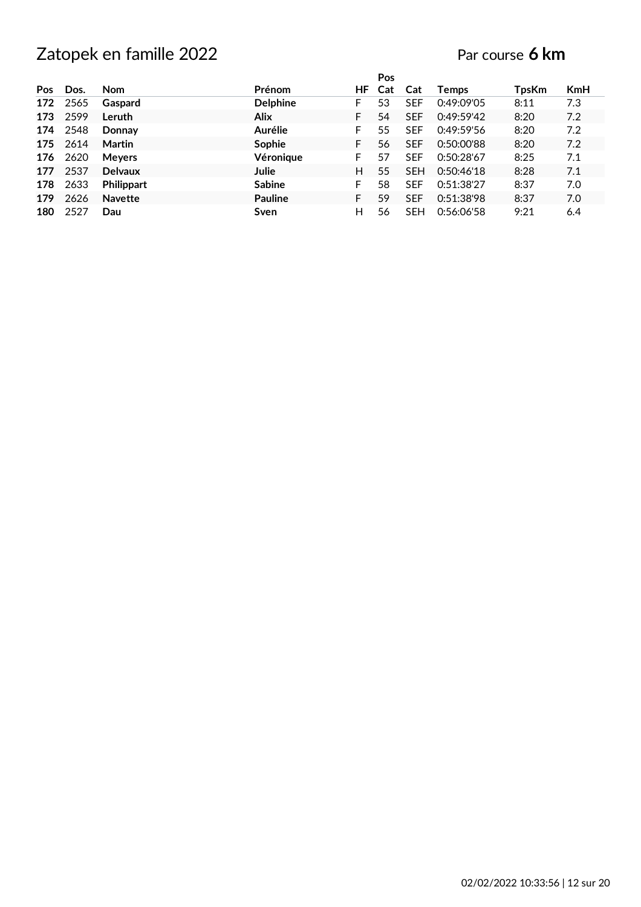|            |      |                   |                 |    | Pos |            |              |       |            |
|------------|------|-------------------|-----------------|----|-----|------------|--------------|-------|------------|
| <b>Pos</b> | Dos. | <b>Nom</b>        | <b>Prénom</b>   | ΗF | Cat | Cat        | <b>Temps</b> | TpsKm | <b>KmH</b> |
| 172        | 2565 | Gaspard           | <b>Delphine</b> | F  | 53  | <b>SEF</b> | 0:49:09'05   | 8:11  | 7.3        |
| 173        | 2599 | Leruth            | <b>Alix</b>     | F  | 54  | <b>SEF</b> | 0:49:59'42   | 8:20  | 7.2        |
| 174        | 2548 | Donnay            | Aurélie         | F  | 55  | <b>SEF</b> | 0:49:59'56   | 8:20  | 7.2        |
| 175        | 2614 | Martin            | Sophie          | F  | 56  | <b>SEF</b> | 0:50:00'88   | 8:20  | 7.2        |
| 176        | 2620 | <b>Meyers</b>     | Véronique       | F  | 57  | <b>SEF</b> | 0:50:28'67   | 8:25  | 7.1        |
| 177        | 2537 | <b>Delvaux</b>    | Julie           | H  | 55  | <b>SEH</b> | 0:50:46'18   | 8:28  | 7.1        |
| 178        | 2633 | <b>Philippart</b> | <b>Sabine</b>   | F  | 58  | <b>SEF</b> | 0:51:38'27   | 8:37  | 7.0        |
| 179        | 2626 | <b>Navette</b>    | <b>Pauline</b>  | F  | 59  | <b>SEF</b> | 0:51:38'98   | 8:37  | 7.0        |
| 180        | 2527 | Dau               | Sven            | н  | 56  | <b>SEH</b> | 0:56:06'58   | 9:21  | 6.4        |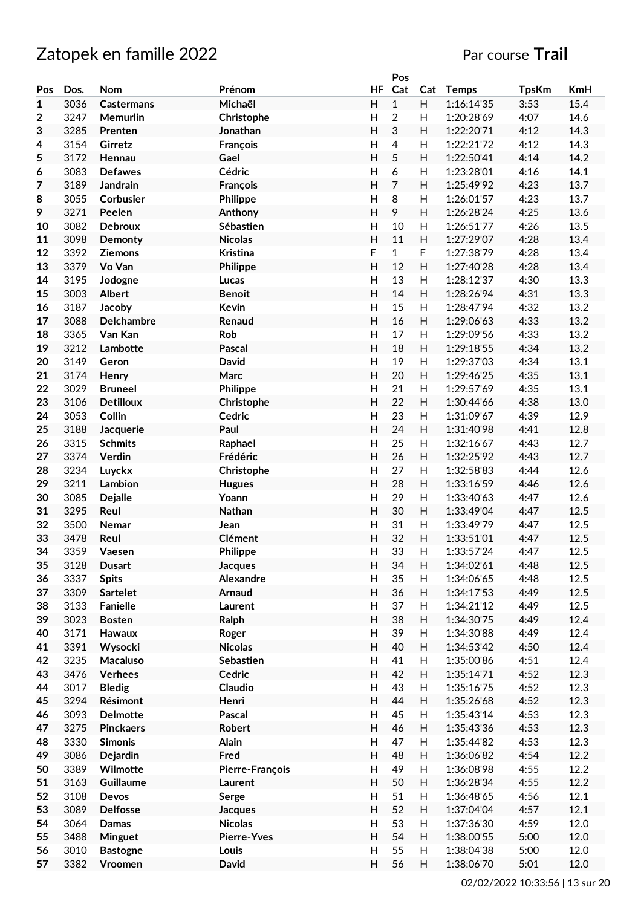# Zatopek en famille 2022 **Par course Trail**

|     |      |                   |                    |                           | Pos            |     |              |              |      |
|-----|------|-------------------|--------------------|---------------------------|----------------|-----|--------------|--------------|------|
| Pos | Dos. | Nom               | Prénom             | <b>HF</b>                 | Cat            | Cat | <b>Temps</b> | <b>TpsKm</b> | KmH  |
| 1   | 3036 | <b>Castermans</b> | Michaël            | $\mathsf{H}$              | $\mathbf{1}$   | H   | 1:16:14'35   | 3:53         | 15.4 |
| 2   | 3247 | Memurlin          | Christophe         | $\mathsf{H}$              | $\overline{c}$ | H   | 1:20:28'69   | 4:07         | 14.6 |
| 3   | 3285 | Prenten           | Jonathan           | H                         | 3              | H   | 1:22:20'71   | 4:12         | 14.3 |
| 4   | 3154 | Girretz           | François           | $\mathsf{H}$              | $\overline{4}$ | H   | 1:22:21'72   | 4:12         | 14.3 |
| 5   | 3172 | Hennau            | Gael               | Η                         | 5              | H   | 1:22:50'41   | 4:14         | 14.2 |
|     |      |                   |                    |                           |                |     |              |              |      |
| 6   | 3083 | <b>Defawes</b>    | Cédric             | Η                         | 6              | H   | 1:23:28'01   | 4:16         | 14.1 |
| 7   | 3189 | <b>Jandrain</b>   | François           | Η                         | $\overline{7}$ | H   | 1:25:49'92   | 4:23         | 13.7 |
| 8   | 3055 | Corbusier         | Philippe           | $\mathsf{H}$              | 8              | H   | 1:26:01'57   | 4:23         | 13.7 |
| 9   | 3271 | Peelen            | Anthony            | $\overline{\mathsf{H}}$   | 9              | H   | 1:26:28'24   | 4:25         | 13.6 |
| 10  | 3082 | <b>Debroux</b>    | Sébastien          | H                         | 10             | H   | 1:26:51'77   | 4:26         | 13.5 |
| 11  | 3098 | Demonty           | <b>Nicolas</b>     | Η                         | 11             | H   | 1:27:29'07   | 4:28         | 13.4 |
| 12  | 3392 | <b>Ziemons</b>    | <b>Kristina</b>    | F                         | $\mathbf{1}$   | F   | 1:27:38'79   | 4:28         | 13.4 |
| 13  | 3379 | Vo Van            | <b>Philippe</b>    | H                         | 12             | H   | 1:27:40'28   | 4:28         | 13.4 |
| 14  | 3195 | Jodogne           | Lucas              | Н                         | 13             | H   | 1:28:12'37   | 4:30         | 13.3 |
| 15  | 3003 | <b>Albert</b>     | <b>Benoit</b>      | H                         | 14             | H   | 1:28:26'94   | 4:31         | 13.3 |
| 16  | 3187 | Jacoby            | <b>Kevin</b>       | $\mathsf{H}$              | 15             | H   | 1:28:47'94   | 4:32         | 13.2 |
| 17  | 3088 | <b>Delchambre</b> | Renaud             | H                         | 16             | H   | 1:29:06'63   | 4:33         | 13.2 |
| 18  | 3365 | Van Kan           | Rob                | $\mathsf{H}$              | 17             | H   | 1:29:09'56   | 4:33         | 13.2 |
|     |      |                   |                    |                           |                |     |              |              |      |
| 19  | 3212 | Lambotte          | Pascal             | Н                         | 18             | H   | 1:29:18'55   | 4:34         | 13.2 |
| 20  | 3149 | Geron             | <b>David</b>       | $\mathsf{H}$              | 19             | H   | 1:29:37'03   | 4:34         | 13.1 |
| 21  | 3174 | Henry             | Marc               | Η                         | 20             | H   | 1:29:46'25   | 4:35         | 13.1 |
| 22  | 3029 | <b>Bruneel</b>    | Philippe           | $\mathsf{H}$              | 21             | H   | 1:29:57'69   | 4:35         | 13.1 |
| 23  | 3106 | <b>Detilloux</b>  | Christophe         | H                         | 22             | H   | 1:30:44'66   | 4:38         | 13.0 |
| 24  | 3053 | Collin            | Cedric             | Η                         | 23             | H   | 1:31:09'67   | 4:39         | 12.9 |
| 25  | 3188 | Jacquerie         | Paul               | H                         | 24             | H   | 1:31:40'98   | 4:41         | 12.8 |
| 26  | 3315 | <b>Schmits</b>    | Raphael            | Η                         | 25             | H   | 1:32:16'67   | 4:43         | 12.7 |
| 27  | 3374 | Verdin            | Frédéric           | Н                         | 26             | H   | 1:32:25'92   | 4:43         | 12.7 |
| 28  | 3234 | Luyckx            | Christophe         | $\mathsf{H}$              | 27             | H   | 1:32:58'83   | 4:44         | 12.6 |
| 29  | 3211 | Lambion           | <b>Hugues</b>      | $\mathsf{H}$              | 28             | H   | 1:33:16'59   | 4:46         | 12.6 |
| 30  | 3085 | <b>Dejalle</b>    | Yoann              | $\mathsf{H}$              | 29             | H   | 1:33:40'63   | 4:47         | 12.6 |
| 31  | 3295 | Reul              | Nathan             | Н                         | 30             | H   | 1:33:49'04   | 4:47         | 12.5 |
|     |      |                   |                    |                           |                |     |              |              |      |
| 32  | 3500 | Nemar             | Jean               | Н                         | 31             | H   | 1:33:49'79   | 4:47         | 12.5 |
| 33  | 3478 | Reul              | <b>Clément</b>     | $\overline{\mathsf{H}}$   | 32             | H   | 1:33:51'01   | 4:47         | 12.5 |
| 34  | 3359 | Vaesen            | Philippe           | H                         | 33             | Н   | 1:33:57'24   | 4:47         | 12.5 |
| 35  | 3128 | <b>Dusart</b>     | <b>Jacques</b>     | Н                         | 34             | H   | 1:34:02'61   | 4:48         | 12.5 |
| 36  | 3337 | <b>Spits</b>      | Alexandre          | Н                         | 35             | H   | 1:34:06'65   | 4:48         | 12.5 |
| 37  | 3309 | <b>Sartelet</b>   | Arnaud             | H                         | 36             | H   | 1:34:17'53   | 4:49         | 12.5 |
| 38  | 3133 | <b>Fanielle</b>   | Laurent            | Н                         | 37             | H   | 1:34:21'12   | 4:49         | 12.5 |
| 39  | 3023 | <b>Bosten</b>     | Ralph              | Н                         | 38             | Н   | 1:34:30'75   | 4:49         | 12.4 |
| 40  | 3171 | Hawaux            | Roger              | $\mathsf{H}$              | 39             | н   | 1:34:30'88   | 4:49         | 12.4 |
| 41  | 3391 | Wysocki           | <b>Nicolas</b>     | Н                         | 40             | Н   | 1:34:53'42   | 4:50         | 12.4 |
| 42  | 3235 | Macaluso          | Sebastien          | Н                         | 41             | H   | 1:35:00'86   | 4:51         | 12.4 |
| 43  | 3476 | Verhees           | Cedric             | Н                         | 42             | H   | 1:35:14'71   | 4:52         | 12.3 |
| 44  | 3017 | <b>Bledig</b>     | Claudio            | Н                         | 43             | н   | 1:35:16'75   | 4:52         | 12.3 |
| 45  | 3294 | Résimont          | Henri              | H                         | 44             | Н   | 1:35:26'68   | 4:52         | 12.3 |
|     |      |                   |                    |                           |                |     |              |              |      |
| 46  | 3093 | <b>Delmotte</b>   | Pascal             | $\mathsf{H}$              | 45             | н   | 1:35:43'14   | 4:53         | 12.3 |
| 47  | 3275 | <b>Pinckaers</b>  | Robert             | $\boldsymbol{\mathsf{H}}$ | 46             | H   | 1:35:43'36   | 4:53         | 12.3 |
| 48  | 3330 | <b>Simonis</b>    | Alain              | $\mathsf{H}$              | 47             | H   | 1:35:44'82   | 4:53         | 12.3 |
| 49  | 3086 | Dejardin          | Fred               | H                         | 48             | H   | 1:36:06'82   | 4:54         | 12.2 |
| 50  | 3389 | Wilmotte          | Pierre-François    | Н                         | 49             | H   | 1:36:08'98   | 4:55         | 12.2 |
| 51  | 3163 | Guillaume         | Laurent            | H                         | 50             | Н   | 1:36:28'34   | 4:55         | 12.2 |
| 52  | 3108 | Devos             | Serge              | H                         | 51             | H   | 1:36:48'65   | 4:56         | 12.1 |
| 53  | 3089 | <b>Delfosse</b>   | <b>Jacques</b>     | Н                         | 52             | H   | 1:37:04'04   | 4:57         | 12.1 |
| 54  | 3064 | Damas             | <b>Nicolas</b>     | Н                         | 53             | H   | 1:37:36'30   | 4:59         | 12.0 |
| 55  | 3488 | Minguet           | <b>Pierre-Yves</b> | H                         | 54             | H   | 1:38:00'55   | 5:00         | 12.0 |
| 56  | 3010 | <b>Bastogne</b>   | Louis              | H                         | 55             | H   | 1:38:04'38   | 5:00         | 12.0 |
| 57  |      |                   |                    | H                         |                |     |              |              |      |
|     | 3382 | Vroomen           | David              |                           | 56             | H   | 1:38:06'70   | 5:01         | 12.0 |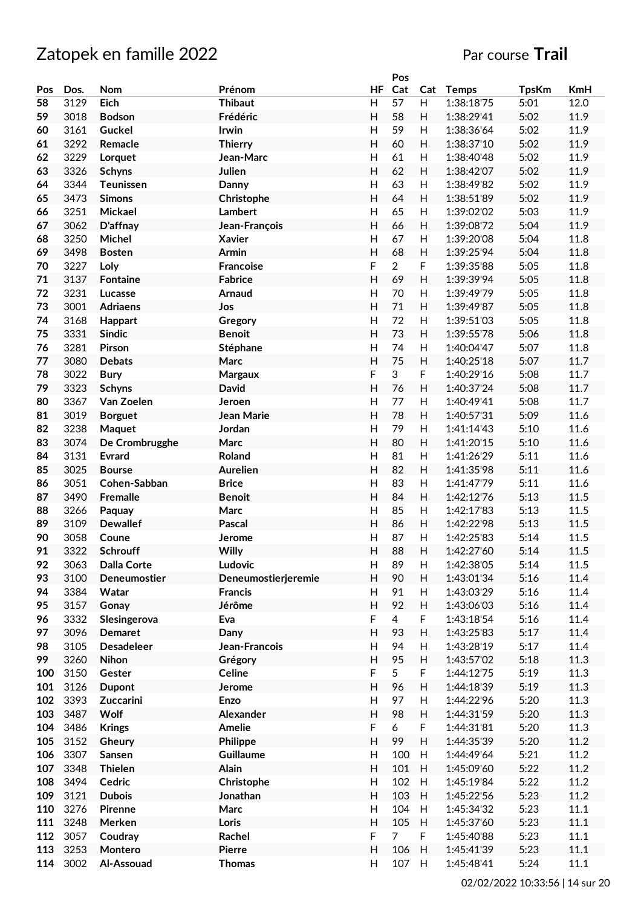|     |      |                    |                     |                           | Pos            |     |              |              |      |
|-----|------|--------------------|---------------------|---------------------------|----------------|-----|--------------|--------------|------|
| Pos | Dos. | Nom                | Prénom              | HF                        | Cat            | Cat | <b>Temps</b> | <b>TpsKm</b> | KmH  |
| 58  | 3129 | Eich               | <b>Thibaut</b>      | H                         | 57             | H   | 1:38:18'75   | 5:01         | 12.0 |
| 59  | 3018 | <b>Bodson</b>      | Frédéric            | H                         | 58             | H   | 1:38:29'41   | 5:02         | 11.9 |
| 60  | 3161 | Guckel             | Irwin               | H                         | 59             | H   | 1:38:36'64   | 5:02         | 11.9 |
| 61  | 3292 | Remacle            | <b>Thierry</b>      | H                         | 60             | H   | 1:38:37'10   | 5:02         | 11.9 |
| 62  | 3229 | Lorquet            | Jean-Marc           | H                         | 61             | H   | 1:38:40'48   | 5:02         | 11.9 |
| 63  | 3326 | <b>Schyns</b>      | Julien              | H                         | 62             | H   | 1:38:42'07   | 5:02         | 11.9 |
| 64  | 3344 | <b>Teunissen</b>   | Danny               | H                         | 63             | H   | 1:38:49'82   | 5:02         | 11.9 |
| 65  | 3473 | <b>Simons</b>      | Christophe          | H                         | 64             | H   | 1:38:51'89   | 5:02         | 11.9 |
| 66  | 3251 | Mickael            | <b>Lambert</b>      |                           | 65             |     |              |              | 11.9 |
|     |      |                    |                     | $\mathsf{H}$              |                | H   | 1:39:02'02   | 5:03         |      |
| 67  | 3062 | D'affnay           | Jean-François       | $\mathsf{H}$              | 66             | Н   | 1:39:08'72   | 5:04         | 11.9 |
| 68  | 3250 | Michel             | <b>Xavier</b>       | H                         | 67             | H   | 1:39:20'08   | 5:04         | 11.8 |
| 69  | 3498 | <b>Bosten</b>      | Armin               | $\mathsf{H}$              | 68             | H   | 1:39:25'94   | 5:04         | 11.8 |
| 70  | 3227 | Loly               | <b>Francoise</b>    | F                         | $\overline{2}$ | F   | 1:39:35'88   | 5:05         | 11.8 |
| 71  | 3137 | <b>Fontaine</b>    | <b>Fabrice</b>      | H                         | 69             | H   | 1:39:39'94   | 5:05         | 11.8 |
| 72  | 3231 | Lucasse            | Arnaud              | H                         | 70             | H   | 1:39:49'79   | 5:05         | 11.8 |
| 73  | 3001 | <b>Adriaens</b>    | Jos                 | H                         | 71             | H   | 1:39:49'87   | 5:05         | 11.8 |
| 74  | 3168 | Happart            | Gregory             | H                         | 72             | H   | 1:39:51'03   | 5:05         | 11.8 |
| 75  | 3331 | <b>Sindic</b>      | <b>Benoit</b>       | H                         | 73             | H   | 1:39:55'78   | 5:06         | 11.8 |
| 76  | 3281 | <b>Pirson</b>      | Stéphane            | $\mathsf{H}$              | 74             | H   | 1:40:04'47   | 5:07         | 11.8 |
| 77  | 3080 | <b>Debats</b>      | Marc                | $\overline{H}$            | 75             | H   | 1:40:25'18   | 5:07         | 11.7 |
| 78  | 3022 | <b>Bury</b>        | Margaux             | F                         | 3              | F   | 1:40:29'16   | 5:08         | 11.7 |
| 79  | 3323 | <b>Schyns</b>      | David               | $\overline{H}$            | 76             | H   | 1:40:37'24   | 5:08         | 11.7 |
| 80  | 3367 | Van Zoelen         | Jeroen              | H                         | 77             | H   | 1:40:49'41   | 5:08         | 11.7 |
| 81  | 3019 | <b>Borguet</b>     | Jean Marie          | H                         | 78             | H   | 1:40:57'31   | 5:09         | 11.6 |
| 82  | 3238 |                    | Jordan              | H                         | 79             | H   | 1:41:14'43   | 5:10         | 11.6 |
|     |      | Maquet             |                     |                           |                |     |              |              |      |
| 83  | 3074 | De Crombrugghe     | Marc                | H                         | 80             | H   | 1:41:20'15   | 5:10         | 11.6 |
| 84  | 3131 | <b>Evrard</b>      | Roland              | H                         | 81             | H   | 1:41:26'29   | 5:11         | 11.6 |
| 85  | 3025 | <b>Bourse</b>      | <b>Aurelien</b>     | H                         | 82             | H   | 1:41:35'98   | 5:11         | 11.6 |
| 86  | 3051 | Cohen-Sabban       | <b>Brice</b>        | $\mathsf{H}$              | 83             | H   | 1:41:47'79   | 5:11         | 11.6 |
| 87  | 3490 | Fremalle           | <b>Benoit</b>       | $\overline{H}$            | 84             | H   | 1:42:12'76   | 5:13         | 11.5 |
| 88  | 3266 | Paquay             | Marc                | $\overline{H}$            | 85             | H   | 1:42:17'83   | 5:13         | 11.5 |
| 89  | 3109 | <b>Dewallef</b>    | Pascal              | H                         | 86             | H   | 1:42:22'98   | 5:13         | 11.5 |
| 90  | 3058 | Coune              | Jerome              | H                         | 87             | H   | 1:42:25'83   | 5:14         | 11.5 |
| 91  | 3322 | Schrouff           | Willy               | $\overline{H}$            | 88             | H   | 1:42:27'60   | 5:14         | 11.5 |
| 92  | 3063 | <b>Dalla Corte</b> | Ludovic             | H                         | 89             | H   | 1:42:38'05   | 5:14         | 11.5 |
| 93  | 3100 | Deneumostier       | Deneumostierjeremie | H                         | 90             | H   | 1:43:01'34   | 5:16         | 11.4 |
| 94  | 3384 | Watar              | <b>Francis</b>      | H                         | 91             | H   | 1:43:03'29   | 5:16         | 11.4 |
| 95  | 3157 | Gonay              | Jérôme              | H                         | 92             | H   | 1:43:06'03   | 5:16         | 11.4 |
| 96  | 3332 | Slesingerova       | Eva                 | $\mathsf F$               | $\overline{4}$ | F   | 1:43:18'54   | 5:16         | 11.4 |
| 97  | 3096 | <b>Demaret</b>     | Dany                | $\overline{H}$            | 93             | H   | 1:43:25'83   | 5:17         | 11.4 |
| 98  | 3105 | <b>Desadeleer</b>  | Jean-Francois       | H                         | 94             | H   | 1:43:28'19   | 5:17         | 11.4 |
| 99  | 3260 | Nihon              | Grégory             | $\overline{H}$            | 95             | H   | 1:43:57'02   | 5:18         | 11.3 |
| 100 | 3150 | Gester             | Celine              | $\mathsf F$               | 5              | F   | 1:44:12'75   | 5:19         | 11.3 |
| 101 | 3126 | <b>Dupont</b>      | Jerome              | $\overline{H}$            | 96             | H   | 1:44:18'39   | 5:19         | 11.3 |
| 102 | 3393 | Zuccarini          | Enzo                | H                         | 97             | H   | 1:44:22'96   | 5:20         | 11.3 |
|     |      |                    |                     |                           |                |     |              |              |      |
| 103 | 3487 | Wolf               | Alexander           | H                         | 98             | H   | 1:44:31'59   | 5:20         | 11.3 |
| 104 | 3486 | <b>Krings</b>      | Amelie              | $\mathsf F$               | 6              | F   | 1:44:31'81   | 5:20         | 11.3 |
| 105 | 3152 | Gheury             | Philippe            | H                         | 99             | H   | 1:44:35'39   | 5:20         | 11.2 |
| 106 | 3307 | Sansen             | Guillaume           | H                         | 100            | H   | 1:44:49'64   | 5:21         | 11.2 |
| 107 | 3348 | <b>Thielen</b>     | Alain               | $\boldsymbol{\mathsf{H}}$ | 101            | H   | 1:45:09'60   | 5:22         | 11.2 |
| 108 | 3494 | Cedric             | Christophe          | H                         | 102            | H   | 1:45:19'84   | 5:22         | 11.2 |
| 109 | 3121 | <b>Dubois</b>      | Jonathan            | $\mathsf{H}%$             | 103            | H   | 1:45:22'56   | 5:23         | 11.2 |
| 110 | 3276 | Pirenne            | Marc                | H                         | 104            | H   | 1:45:34'32   | 5:23         | 11.1 |
| 111 | 3248 | Merken             | Loris               | H                         | 105            | H   | 1:45:37'60   | 5:23         | 11.1 |
| 112 | 3057 | Coudray            | Rachel              | F                         | $\overline{7}$ | F.  | 1:45:40'88   | 5:23         | 11.1 |
| 113 | 3253 | Montero            | <b>Pierre</b>       | H                         | 106            | H   | 1:45:41'39   | 5:23         | 11.1 |
| 114 | 3002 | Al-Assouad         | <b>Thomas</b>       | H                         | 107            | H   | 1:45:48'41   | 5:24         | 11.1 |
|     |      |                    |                     |                           |                |     |              |              |      |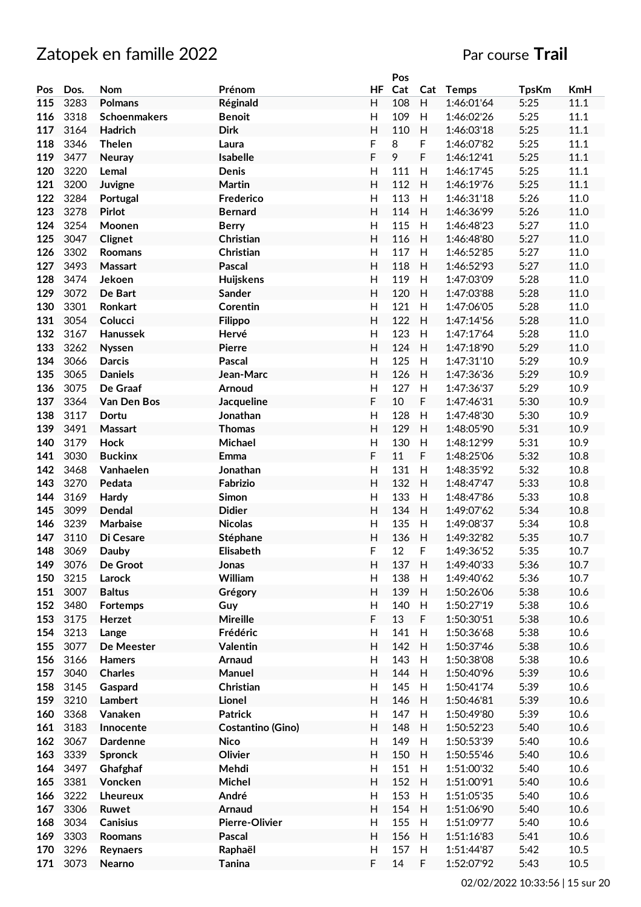|     |      |                 |                          |                           | Pos |     |              |              |            |
|-----|------|-----------------|--------------------------|---------------------------|-----|-----|--------------|--------------|------------|
| Pos | Dos. | Nom             | Prénom                   | HF                        | Cat | Cat | <b>Temps</b> | <b>TpsKm</b> | <b>KmH</b> |
| 115 | 3283 | <b>Polmans</b>  | Réginald                 | H                         | 108 | H   | 1:46:01'64   | 5:25         | 11.1       |
| 116 | 3318 | Schoenmakers    | <b>Benoit</b>            | H                         | 109 | H   | 1:46:02'26   | 5:25         | 11.1       |
| 117 | 3164 | Hadrich         | <b>Dirk</b>              | H                         | 110 | H   | 1:46:03'18   | 5:25         | 11.1       |
| 118 | 3346 | <b>Thelen</b>   | Laura                    | F                         | 8   | F   | 1:46:07'82   | 5:25         | 11.1       |
| 119 | 3477 | Neuray          | Isabelle                 | F                         | 9   | F   | 1:46:12'41   | 5:25         | 11.1       |
| 120 | 3220 |                 | <b>Denis</b>             | H                         | 111 | H   | 1:46:17'45   | 5:25         | 11.1       |
|     |      | Lemal           |                          |                           |     |     |              |              |            |
| 121 | 3200 | Juvigne         | <b>Martin</b>            | H                         | 112 | H   | 1:46:19'76   | 5:25         | 11.1       |
| 122 | 3284 | Portugal        | Frederico                | H                         | 113 | H   | 1:46:31'18   | 5:26         | 11.0       |
| 123 | 3278 | <b>Pirlot</b>   | <b>Bernard</b>           | H                         | 114 | H   | 1:46:36'99   | 5:26         | 11.0       |
| 124 | 3254 | Moonen          | <b>Berry</b>             | H                         | 115 | H   | 1:46:48'23   | 5:27         | 11.0       |
| 125 | 3047 | Clignet         | Christian                | $\mathsf{H}%$             | 116 | H   | 1:46:48'80   | 5:27         | 11.0       |
| 126 | 3302 | Roomans         | Christian                | H                         | 117 | H   | 1:46:52'85   | 5:27         | 11.0       |
| 127 | 3493 | Massart         | Pascal                   | H                         | 118 | H   | 1:46:52'93   | 5:27         | 11.0       |
| 128 | 3474 | Jekoen          | Huijskens                | H                         | 119 | H   | 1:47:03'09   | 5:28         | 11.0       |
| 129 | 3072 | De Bart         | Sander                   | H                         | 120 | H   | 1:47:03'88   | 5:28         | 11.0       |
| 130 | 3301 | Ronkart         | Corentin                 | H                         | 121 | H   | 1:47:06'05   | 5:28         | 11.0       |
| 131 | 3054 | Colucci         | <b>Filippo</b>           | H                         | 122 | H   | 1:47:14'56   | 5:28         | 11.0       |
| 132 | 3167 | Hanussek        | Hervé                    | H                         | 123 | H   | 1:47:17'64   | 5:28         | 11.0       |
| 133 | 3262 | <b>Nyssen</b>   | <b>Pierre</b>            | H                         | 124 | H   | 1:47:18'90   | 5:29         | 11.0       |
|     |      |                 | <b>Pascal</b>            |                           |     |     |              |              |            |
| 134 | 3066 | <b>Darcis</b>   |                          | $\mathsf{H}$              | 125 | H   | 1:47:31'10   | 5:29         | 10.9       |
| 135 | 3065 | <b>Daniels</b>  | Jean-Marc                | $\mathsf{H}%$             | 126 | H   | 1:47:36'36   | 5:29         | 10.9       |
| 136 | 3075 | De Graaf        | Arnoud                   | H                         | 127 | H   | 1:47:36'37   | 5:29         | 10.9       |
| 137 | 3364 | Van Den Bos     | Jacqueline               | $\mathsf F$               | 10  | F   | 1:47:46'31   | 5:30         | 10.9       |
| 138 | 3117 | Dortu           | Jonathan                 | H                         | 128 | H   | 1:47:48'30   | 5:30         | 10.9       |
| 139 | 3491 | Massart         | <b>Thomas</b>            | H                         | 129 | H   | 1:48:05'90   | 5:31         | 10.9       |
| 140 | 3179 | <b>Hock</b>     | Michael                  | H                         | 130 | H   | 1:48:12'99   | 5:31         | 10.9       |
| 141 | 3030 | <b>Buckinx</b>  | Emma                     | F                         | 11  | F   | 1:48:25'06   | 5:32         | 10.8       |
| 142 | 3468 | Vanhaelen       | Jonathan                 | Н                         | 131 | H   | 1:48:35'92   | 5:32         | 10.8       |
| 143 | 3270 | Pedata          | Fabrizio                 | H                         | 132 | H   | 1:48:47'47   | 5:33         | 10.8       |
| 144 | 3169 | Hardy           | Simon                    | H                         | 133 | H   | 1:48:47'86   | 5:33         | 10.8       |
| 145 | 3099 | Dendal          | <b>Didier</b>            | $\mathsf{H}%$             | 134 | H   | 1:49:07'62   | 5:34         | 10.8       |
| 146 | 3239 | Marbaise        | <b>Nicolas</b>           | H                         | 135 | H   | 1:49:08'37   | 5:34         | 10.8       |
| 147 | 3110 | Di Cesare       | Stéphane                 | H                         | 136 | H   | 1:49:32'82   | 5:35         | 10.7       |
| 148 | 3069 | Dauby           | Elisabeth                | F                         | 12  | F   | 1:49:36'52   | 5:35         | 10.7       |
| 149 | 3076 | De Groot        | Jonas                    | H                         | 137 | H   | 1:49:40'33   | 5:36         | 10.7       |
|     | 3215 |                 |                          |                           |     |     |              |              |            |
| 150 |      | Larock          | William                  | H                         | 138 | H   | 1:49:40'62   | 5:36         | 10.7       |
| 151 | 3007 | <b>Baltus</b>   | Grégory                  | H                         | 139 | H   | 1:50:26'06   | 5:38         | 10.6       |
| 152 | 3480 | Fortemps        | Guy                      | Н                         | 140 | H   | 1:50:27'19   | 5:38         | 10.6       |
| 153 | 3175 | Herzet          | Mireille                 | $\mathsf F$               | 13  | F   | 1:50:30'51   | 5:38         | 10.6       |
| 154 | 3213 | Lange           | Frédéric                 | H                         | 141 | H   | 1:50:36'68   | 5:38         | 10.6       |
| 155 | 3077 | De Meester      | Valentin                 | $\mathsf{H}%$             | 142 | H   | 1:50:37'46   | 5:38         | 10.6       |
| 156 | 3166 | Hamers          | Arnaud                   | H                         | 143 | H   | 1:50:38'08   | 5:38         | 10.6       |
| 157 | 3040 | <b>Charles</b>  | Manuel                   | $\boldsymbol{\mathsf{H}}$ | 144 | H   | 1:50:40'96   | 5:39         | 10.6       |
| 158 | 3145 | Gaspard         | Christian                | H                         | 145 | H   | 1:50:41'74   | 5:39         | 10.6       |
| 159 | 3210 | Lambert         | Lionel                   | $\boldsymbol{\mathsf{H}}$ | 146 | H   | 1:50:46'81   | 5:39         | 10.6       |
| 160 | 3368 | Vanaken         | <b>Patrick</b>           | H                         | 147 | H   | 1:50:49'80   | 5:39         | 10.6       |
| 161 | 3183 | Innocente       | <b>Costantino (Gino)</b> | H                         | 148 | H   | 1:50:52'23   | 5:40         | 10.6       |
| 162 | 3067 | <b>Dardenne</b> | <b>Nico</b>              | H                         | 149 | H   | 1:50:53'39   | 5:40         | 10.6       |
| 163 | 3339 | Spronck         | Olivier                  | $\boldsymbol{\mathsf{H}}$ | 150 | H   | 1:50:55'46   | 5:40         | 10.6       |
| 164 | 3497 | Ghafghaf        | Mehdi                    | H                         | 151 | H   | 1:51:00'32   | 5:40         | 10.6       |
|     | 3381 |                 |                          | $\boldsymbol{\mathsf{H}}$ | 152 | H   |              |              |            |
| 165 |      | Voncken         | Michel                   |                           |     |     | 1:51:00'91   | 5:40         | 10.6       |
| 166 | 3222 | Lheureux        | André                    | H                         | 153 | H   | 1:51:05'35   | 5:40         | 10.6       |
| 167 | 3306 | Ruwet           | Arnaud                   | $\boldsymbol{\mathsf{H}}$ | 154 | H   | 1:51:06'90   | 5:40         | 10.6       |
| 168 | 3034 | <b>Canisius</b> | Pierre-Olivier           | H                         | 155 | H   | 1:51:09'77   | 5:40         | 10.6       |
| 169 | 3303 | Roomans         | Pascal                   | H                         | 156 | H   | 1:51:16'83   | 5:41         | 10.6       |
| 170 | 3296 | Reynaers        | Raphaël                  | H                         | 157 | H   | 1:51:44'87   | 5:42         | 10.5       |
| 171 | 3073 | Nearno          | <b>Tanina</b>            | $\mathsf F$               | 14  | F   | 1:52:07'92   | 5:43         | 10.5       |
|     |      |                 |                          |                           |     |     |              |              |            |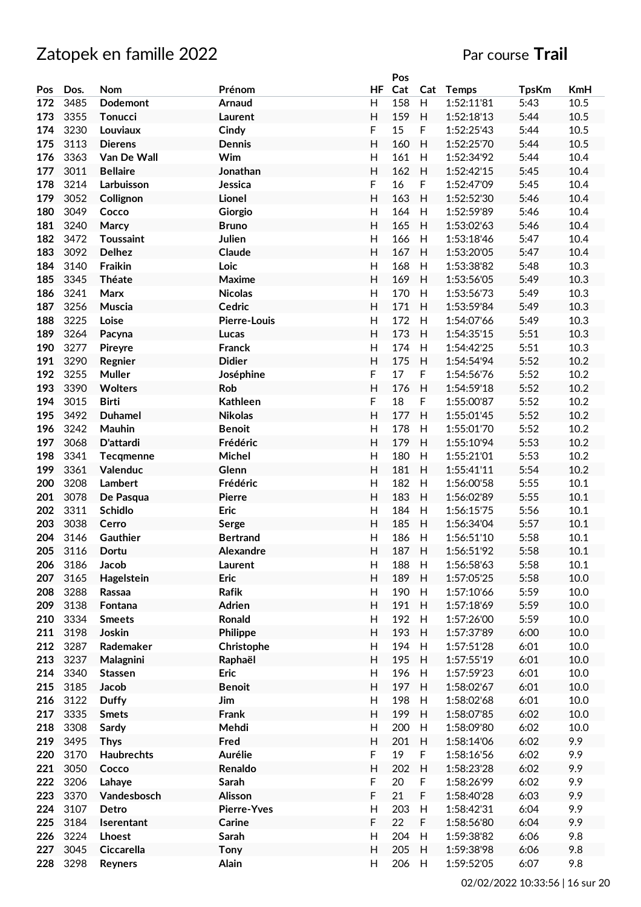|     |      |                 |                     |               | Pos |             |              |              |            |
|-----|------|-----------------|---------------------|---------------|-----|-------------|--------------|--------------|------------|
| Pos | Dos. | Nom             | Prénom              | HF            | Cat | Cat         | <b>Temps</b> | <b>TpsKm</b> | <b>KmH</b> |
| 172 | 3485 | Dodemont        | Arnaud              | H             | 158 | H           | 1:52:11'81   | 5:43         | 10.5       |
| 173 | 3355 | Tonucci         | Laurent             | H             | 159 | H           | 1:52:18'13   | 5:44         | 10.5       |
| 174 | 3230 | Louviaux        | Cindy               | F             | 15  | $\mathsf F$ | 1:52:25'43   | 5:44         | 10.5       |
| 175 | 3113 | <b>Dierens</b>  | <b>Dennis</b>       | H             | 160 | H           | 1:52:25'70   | 5:44         | 10.5       |
| 176 | 3363 | Van De Wall     | Wim                 | H             | 161 | H           | 1:52:34'92   | 5:44         | 10.4       |
| 177 | 3011 | <b>Bellaire</b> | Jonathan            | H             | 162 | H           | 1:52:42'15   | 5:45         | 10.4       |
|     | 3214 | Larbuisson      |                     |               |     |             |              |              |            |
| 178 |      |                 | Jessica             | F             | 16  | F           | 1:52:47'09   | 5:45         | 10.4       |
| 179 | 3052 | Collignon       | Lionel              | H             | 163 | H           | 1:52:52'30   | 5:46         | 10.4       |
| 180 | 3049 | Cocco           | Giorgio             | $\mathsf{H}%$ | 164 | H           | 1:52:59'89   | 5:46         | 10.4       |
| 181 | 3240 | Marcy           | <b>Bruno</b>        | $\mathsf{H}$  | 165 | H           | 1:53:02'63   | 5:46         | 10.4       |
| 182 | 3472 | Toussaint       | Julien              | H             | 166 | H           | 1:53:18'46   | 5:47         | 10.4       |
| 183 | 3092 | <b>Delhez</b>   | Claude              | H             | 167 | H           | 1:53:20'05   | 5:47         | 10.4       |
| 184 | 3140 | Fraikin         | Loic                | H             | 168 | H           | 1:53:38'82   | 5:48         | 10.3       |
| 185 | 3345 | Théate          | Maxime              | H             | 169 | H           | 1:53:56'05   | 5:49         | 10.3       |
| 186 | 3241 | Marx            | <b>Nicolas</b>      | H             | 170 | H           | 1:53:56'73   | 5:49         | 10.3       |
| 187 | 3256 | Muscia          | Cedric              | H             | 171 | H           | 1:53:59'84   | 5:49         | 10.3       |
| 188 | 3225 | Loise           | <b>Pierre-Louis</b> | H             | 172 | H           | 1:54:07'66   | 5:49         | 10.3       |
| 189 | 3264 | Pacyna          | Lucas               | H             | 173 | H           | 1:54:35'15   | 5:51         | 10.3       |
| 190 | 3277 |                 | <b>Franck</b>       | $\mathsf{H}%$ | 174 | H           | 1:54:42'25   | 5:51         | 10.3       |
|     |      | Pireyre         |                     |               |     |             |              |              |            |
| 191 | 3290 | Regnier         | <b>Didier</b>       | $\mathsf{H}$  | 175 | H           | 1:54:54'94   | 5:52         | 10.2       |
| 192 | 3255 | <b>Muller</b>   | Joséphine           | F             | 17  | $\mathsf F$ | 1:54:56'76   | 5:52         | 10.2       |
| 193 | 3390 | <b>Wolters</b>  | Rob                 | H             | 176 | H           | 1:54:59'18   | 5:52         | 10.2       |
| 194 | 3015 | <b>Birti</b>    | <b>Kathleen</b>     | F             | 18  | F           | 1:55:00'87   | 5:52         | 10.2       |
| 195 | 3492 | <b>Duhamel</b>  | <b>Nikolas</b>      | H             | 177 | H           | 1:55:01'45   | 5:52         | 10.2       |
| 196 | 3242 | Mauhin          | <b>Benoit</b>       | H             | 178 | H           | 1:55:01'70   | 5:52         | 10.2       |
| 197 | 3068 | D'attardi       | Frédéric            | H             | 179 | H           | 1:55:10'94   | 5:53         | 10.2       |
| 198 | 3341 | Tecqmenne       | Michel              | H             | 180 | H           | 1:55:21'01   | 5:53         | 10.2       |
| 199 | 3361 | Valenduc        | Glenn               | H             | 181 | H           | 1:55:41'11   | 5:54         | 10.2       |
| 200 | 3208 | Lambert         | Frédéric            | Н             | 182 | H           | 1:56:00'58   | 5:55         | 10.1       |
| 201 | 3078 | De Pasqua       | <b>Pierre</b>       | $\mathsf{H}$  | 183 | H           | 1:56:02'89   | 5:55         | 10.1       |
|     |      |                 |                     |               |     |             |              |              |            |
| 202 | 3311 | <b>Schidlo</b>  | Eric                | H             | 184 | H           | 1:56:15'75   | 5:56         | 10.1       |
| 203 | 3038 | Cerro           | Serge               | $\mathsf{H}%$ | 185 | H           | 1:56:34'04   | 5:57         | 10.1       |
| 204 | 3146 | Gauthier        | <b>Bertrand</b>     | H             | 186 | H           | 1:56:51'10   | 5:58         | 10.1       |
| 205 | 3116 | Dortu           | Alexandre           | Η             | 187 | H           | 1:56:51'92   | 5:58         | 10.1       |
| 206 | 3186 | Jacob           | Laurent             | H             | 188 | H           | 1:56:58'63   | 5:58         | 10.1       |
| 207 | 3165 | Hagelstein      | <b>Eric</b>         | H             | 189 | H           | 1:57:05'25   | 5:58         | 10.0       |
| 208 | 3288 | Rassaa          | Rafik               | H             | 190 | H           | 1:57:10'66   | 5:59         | 10.0       |
| 209 | 3138 | Fontana         | Adrien              | H             | 191 | H           | 1:57:18'69   | 5:59         | 10.0       |
| 210 | 3334 | <b>Smeets</b>   | Ronald              | $\mathsf{H}%$ | 192 | H           | 1:57:26'00   | 5:59         | 10.0       |
| 211 | 3198 | Joskin          | Philippe            | $\mathsf{H}%$ | 193 | H           | 1:57:37'89   | 6:00         | 10.0       |
| 212 | 3287 | Rademaker       | Christophe          | H             | 194 | H           | 1:57:51'28   | 6:01         | 10.0       |
| 213 | 3237 | Malagnini       | Raphaël             | $\mathsf{H}%$ | 195 | H           | 1:57:55'19   | 6:01         | 10.0       |
| 214 | 3340 | Stassen         | <b>Eric</b>         | H             | 196 | H           | 1:57:59'23   | 6:01         | 10.0       |
|     |      |                 |                     |               |     |             |              |              |            |
| 215 | 3185 | Jacob           | <b>Benoit</b>       | H             | 197 | H           | 1:58:02'67   | 6:01         | 10.0       |
| 216 | 3122 | <b>Duffy</b>    | Jim                 | H             | 198 | H           | 1:58:02'68   | 6:01         | 10.0       |
| 217 | 3335 | <b>Smets</b>    | Frank               | H             | 199 | H           | 1:58:07'85   | 6:02         | 10.0       |
| 218 | 3308 | Sardy           | Mehdi               | H             | 200 | H           | 1:58:09'80   | 6:02         | 10.0       |
| 219 | 3495 | <b>Thys</b>     | Fred                | H             | 201 | H           | 1:58:14'06   | 6:02         | 9.9        |
| 220 | 3170 | Haubrechts      | Aurélie             | $\mathsf F$   | 19  | $\mathsf F$ | 1:58:16'56   | 6:02         | 9.9        |
| 221 | 3050 | Cocco           | Renaldo             | $\mathsf{H}$  | 202 | H           | 1:58:23'28   | 6:02         | 9.9        |
| 222 | 3206 | Lahaye          | Sarah               | F             | 20  | $\mathsf F$ | 1:58:26'99   | 6:02         | 9.9        |
| 223 | 3370 | Vandesbosch     | Alisson             | $\mathsf F$   | 21  | F           | 1:58:40'28   | 6:03         | 9.9        |
| 224 | 3107 | Detro           | <b>Pierre-Yves</b>  | H             | 203 | H           | 1:58:42'31   | 6:04         | 9.9        |
| 225 | 3184 | Iserentant      | Carine              | $\mathsf F$   | 22  | F           | 1:58:56'80   | 6:04         | 9.9        |
| 226 | 3224 | Lhoest          | Sarah               | $\mathsf{H}%$ | 204 | H           | 1:59:38'82   | 6:06         | 9.8        |
|     |      |                 |                     |               |     |             |              |              |            |
| 227 | 3045 | Ciccarella      | <b>Tony</b>         | H             | 205 | H           | 1:59:38'98   | 6:06         | 9.8        |
| 228 | 3298 | Reyners         | Alain               | H             | 206 | H           | 1:59:52'05   | 6:07         | 9.8        |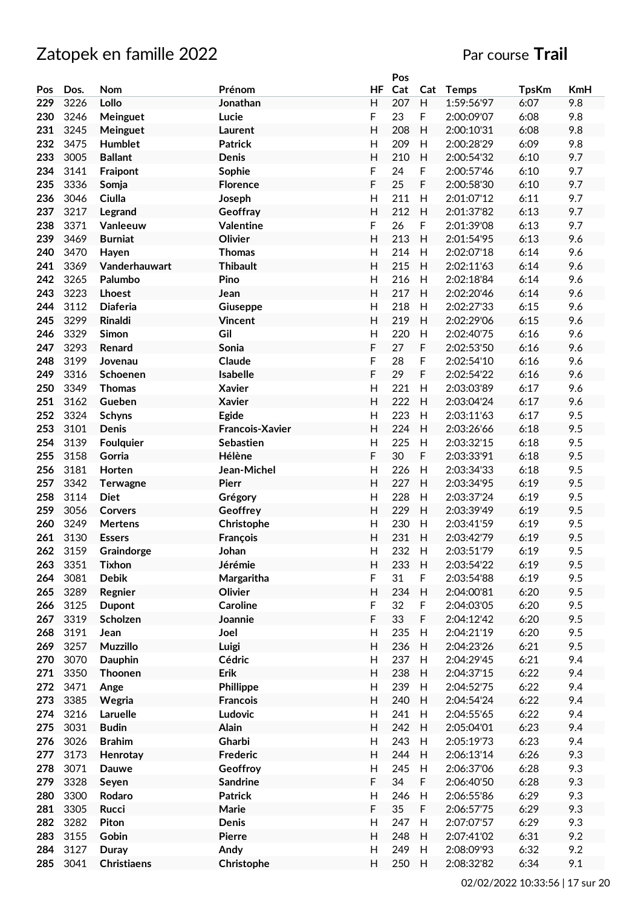|     |      |                    |                        |                | Pos |     |              |              |            |
|-----|------|--------------------|------------------------|----------------|-----|-----|--------------|--------------|------------|
| Pos | Dos. | Nom                | Prénom                 | HF             | Cat | Cat | <b>Temps</b> | <b>TpsKm</b> | <b>KmH</b> |
| 229 | 3226 | Lollo              | Jonathan               | H              | 207 | H   | 1:59:56'97   | 6:07         | 9.8        |
| 230 | 3246 | Meinguet           | Lucie                  | F              | 23  | F   | 2:00:09'07   | 6:08         | 9.8        |
| 231 | 3245 | Meinguet           | Laurent                | $\mathsf{H}$   | 208 | H   | 2:00:10'31   | 6:08         | 9.8        |
| 232 | 3475 | Humblet            | <b>Patrick</b>         | $\mathsf{H}$   | 209 | H   | 2:00:28'29   | 6:09         | 9.8        |
| 233 | 3005 | <b>Ballant</b>     | Denis                  | H              | 210 | H   | 2:00:54'32   | 6:10         | 9.7        |
|     |      |                    |                        |                |     | F   |              |              | 9.7        |
| 234 | 3141 | Fraipont           | Sophie                 | F              | 24  |     | 2:00:57'46   | 6:10         |            |
| 235 | 3336 | Somja              | <b>Florence</b>        | F              | 25  | F   | 2:00:58'30   | 6:10         | 9.7        |
| 236 | 3046 | Ciulla             | Joseph                 | Н              | 211 | H   | 2:01:07'12   | 6:11         | 9.7        |
| 237 | 3217 | Legrand            | Geoffray               | H              | 212 | H   | 2:01:37'82   | 6:13         | 9.7        |
| 238 | 3371 | Vanleeuw           | <b>Valentine</b>       | F              | 26  | F   | 2:01:39'08   | 6:13         | 9.7        |
| 239 | 3469 | <b>Burniat</b>     | Olivier                | $\overline{H}$ | 213 | H   | 2:01:54'95   | 6:13         | 9.6        |
| 240 | 3470 | Hayen              | <b>Thomas</b>          | $\mathsf{H}$   | 214 | H   | 2:02:07'18   | 6:14         | 9.6        |
| 241 | 3369 | Vanderhauwart      | <b>Thibault</b>        | $\mathsf{H}$   | 215 | H   | 2:02:11'63   | 6:14         | 9.6        |
| 242 | 3265 | Palumbo            | Pino                   | Н              | 216 | H   | 2:02:18'84   | 6:14         | 9.6        |
| 243 | 3223 | Lhoest             | Jean                   | H              | 217 | H   | 2:02:20'46   | 6:14         | 9.6        |
| 244 | 3112 | <b>Diaferia</b>    | <b>Giuseppe</b>        | Н              | 218 | H   | 2:02:27'33   | 6:15         | 9.6        |
| 245 | 3299 | Rinaldi            | <b>Vincent</b>         | H              | 219 | H   | 2:02:29'06   | 6:15         | 9.6        |
| 246 | 3329 | Simon              | Gil                    | Н              | 220 |     | 2:02:40'75   | 6:16         | 9.6        |
|     |      |                    |                        |                |     | н   |              |              |            |
| 247 | 3293 | Renard             | Sonia                  | F              | 27  | F   | 2:02:53'50   | 6:16         | 9.6        |
| 248 | 3199 | Jovenau            | Claude                 | F              | 28  | F   | 2:02:54'10   | 6:16         | 9.6        |
| 249 | 3316 | Schoenen           | Isabelle               | F              | 29  | F   | 2:02:54'22   | 6:16         | 9.6        |
| 250 | 3349 | <b>Thomas</b>      | <b>Xavier</b>          | $\mathsf{H}$   | 221 | H   | 2:03:03'89   | 6:17         | 9.6        |
| 251 | 3162 | Gueben             | <b>Xavier</b>          | $\mathsf{H}$   | 222 | H   | 2:03:04'24   | 6:17         | 9.6        |
| 252 | 3324 | <b>Schyns</b>      | Egide                  | H              | 223 | H   | 2:03:11'63   | 6:17         | 9.5        |
| 253 | 3101 | Denis              | <b>Francois-Xavier</b> | H              | 224 | H   | 2:03:26'66   | 6:18         | 9.5        |
| 254 | 3139 | <b>Foulquier</b>   | Sebastien              | Н              | 225 | H   | 2:03:32'15   | 6:18         | 9.5        |
| 255 | 3158 | Gorria             | Hélène                 | F              | 30  | F   | 2:03:33'91   | 6:18         | 9.5        |
| 256 | 3181 | Horten             | Jean-Michel            | H              | 226 | H   | 2:03:34'33   | 6:18         | 9.5        |
| 257 | 3342 | <b>Terwagne</b>    | Pierr                  | H              | 227 | H   | 2:03:34'95   | 6:19         | 9.5        |
| 258 | 3114 | <b>Diet</b>        | Grégory                | H              | 228 | H   | 2:03:37'24   | 6:19         | 9.5        |
| 259 | 3056 |                    |                        |                | 229 |     | 2:03:39'49   |              | 9.5        |
|     |      | <b>Corvers</b>     | Geoffrey               | $\mathsf{H}$   |     | H   |              | 6:19         |            |
| 260 | 3249 | <b>Mertens</b>     | Christophe             | H              | 230 | Н   | 2:03:41'59   | 6:19         | 9.5        |
| 261 | 3130 | <b>Essers</b>      | François               | $\overline{H}$ | 231 | H   | 2:03:42'79   | 6:19         | 9.5        |
| 262 | 3159 | Graindorge         | Johan                  | Н              | 232 | Н   | 2:03:51'79   | 6:19         | 9.5        |
| 263 | 3351 | <b>Tixhon</b>      | Jérémie                | Н              | 233 | H   | 2:03:54'22   | 6:19         | 9.5        |
| 264 | 3081 | <b>Debik</b>       | Margaritha             | F              | 31  | F   | 2:03:54'88   | 6:19         | 9.5        |
| 265 | 3289 | Regnier            | Olivier                | H              | 234 | H   | 2:04:00'81   | 6:20         | 9.5        |
| 266 | 3125 | <b>Dupont</b>      | <b>Caroline</b>        | F              | 32  | F   | 2:04:03'05   | 6:20         | 9.5        |
| 267 | 3319 | Scholzen           | Joannie                | F              | 33  | F   | 2:04:12'42   | 6:20         | 9.5        |
| 268 | 3191 | Jean               | Joel                   | Н              | 235 | H   | 2:04:21'19   | 6:20         | 9.5        |
| 269 | 3257 | <b>Muzzillo</b>    | Luigi                  | Н              | 236 | H   | 2:04:23'26   | 6:21         | 9.5        |
| 270 | 3070 | <b>Dauphin</b>     | Cédric                 | Н              | 237 | H   | 2:04:29'45   | 6:21         | 9.4        |
| 271 | 3350 | Thoonen            | Erik                   | H              | 238 | H   | 2:04:37'15   | 6:22         | 9.4        |
| 272 | 3471 | Ange               | Phillippe              | H              | 239 | H   | 2:04:52'75   | 6:22         | 9.4        |
| 273 | 3385 | Wegria             | <b>Francois</b>        | H              | 240 | Н   | 2:04:54'24   | 6:22         | 9.4        |
| 274 |      |                    | Ludovic                |                |     |     |              |              |            |
|     | 3216 | Laruelle           |                        | H              | 241 | H   | 2:04:55'65   | 6:22         | 9.4        |
| 275 | 3031 | <b>Budin</b>       | Alain                  | H              | 242 | Н   | 2:05:04'01   | 6:23         | 9.4        |
| 276 | 3026 | <b>Brahim</b>      | Gharbi                 | Н              | 243 | H   | 2:05:19'73   | 6:23         | 9.4        |
| 277 | 3173 | Henrotay           | Frederic               | H              | 244 | H   | 2:06:13'14   | 6:26         | 9.3        |
| 278 | 3071 | <b>Dauwe</b>       | Geoffroy               | Н              | 245 | H   | 2:06:37'06   | 6:28         | 9.3        |
| 279 | 3328 | Seyen              | <b>Sandrine</b>        | F              | 34  | F   | 2:06:40'50   | 6:28         | 9.3        |
| 280 | 3300 | Rodaro             | <b>Patrick</b>         | $\mathsf{H}$   | 246 | H   | 2:06:55'86   | 6:29         | 9.3        |
| 281 | 3305 | Rucci              | Marie                  | F              | 35  | F   | 2:06:57'75   | 6:29         | 9.3        |
| 282 | 3282 | Piton              | <b>Denis</b>           | H              | 247 | H   | 2:07:07'57   | 6:29         | 9.3        |
| 283 | 3155 | Gobin              | <b>Pierre</b>          | H              | 248 | H   | 2:07:41'02   | 6:31         | 9.2        |
| 284 | 3127 | Duray              | Andy                   | H              | 249 | H   | 2:08:09'93   | 6:32         | 9.2        |
| 285 | 3041 | <b>Christiaens</b> | Christophe             | H              | 250 | H   | 2:08:32'82   | 6:34         | 9.1        |
|     |      |                    |                        |                |     |     |              |              |            |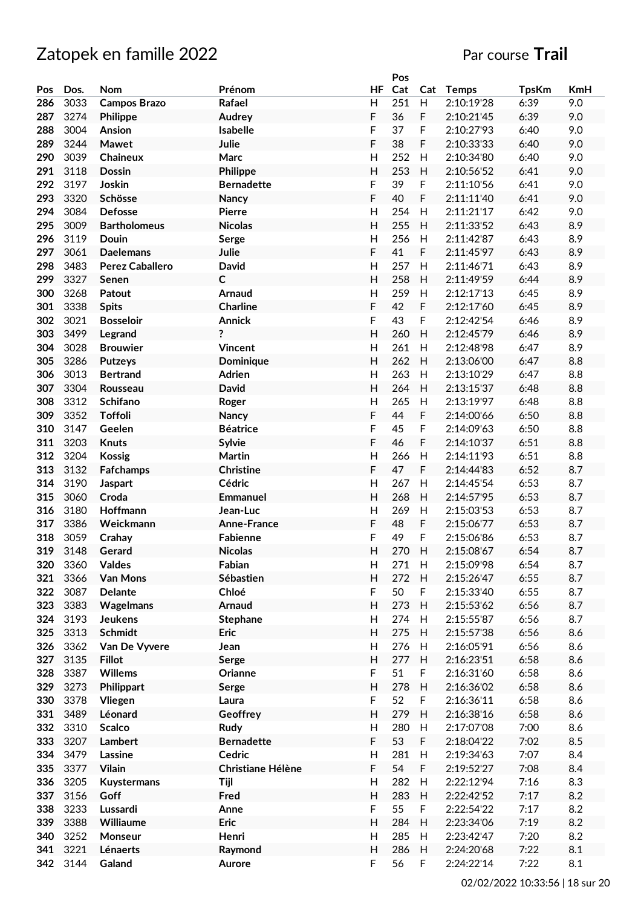|     |      |                        |                   |                           | Pos |     |            |              |     |
|-----|------|------------------------|-------------------|---------------------------|-----|-----|------------|--------------|-----|
| Pos | Dos. | <b>Nom</b>             | Prénom            | HF                        | Cat | Cat | Temps      | <b>TpsKm</b> | KmH |
| 286 | 3033 | <b>Campos Brazo</b>    | Rafael            | H                         | 251 | H   | 2:10:19'28 | 6:39         | 9.0 |
| 287 | 3274 | Philippe               | Audrey            | F                         | 36  | F   | 2:10:21'45 | 6:39         | 9.0 |
| 288 | 3004 | Ansion                 | Isabelle          | F                         | 37  | F   | 2:10:27'93 | 6:40         | 9.0 |
| 289 | 3244 | Mawet                  | Julie             | F                         | 38  | F   | 2:10:33'33 | 6:40         | 9.0 |
| 290 | 3039 | Chaineux               | <b>Marc</b>       | Η                         | 252 | H   | 2:10:34'80 | 6:40         | 9.0 |
| 291 | 3118 | <b>Dossin</b>          | Philippe          | Η                         | 253 | H   | 2:10:56'52 | 6:41         | 9.0 |
| 292 | 3197 | Joskin                 |                   | F                         | 39  |     |            |              | 9.0 |
|     |      |                        | <b>Bernadette</b> |                           |     | F   | 2:11:10'56 | 6:41         |     |
| 293 | 3320 | Schösse                | Nancy             | F                         | 40  | F   | 2:11:11'40 | 6:41         | 9.0 |
| 294 | 3084 | <b>Defosse</b>         | <b>Pierre</b>     | Η                         | 254 | Н   | 2:11:21'17 | 6:42         | 9.0 |
| 295 | 3009 | <b>Bartholomeus</b>    | <b>Nicolas</b>    | Η                         | 255 | H   | 2:11:33'52 | 6:43         | 8.9 |
| 296 | 3119 | Douin                  | Serge             | $\mathsf{H}$              | 256 | H   | 2:11:42'87 | 6:43         | 8.9 |
| 297 | 3061 | <b>Daelemans</b>       | Julie             | F                         | 41  | F   | 2:11:45'97 | 6:43         | 8.9 |
| 298 | 3483 | <b>Perez Caballero</b> | <b>David</b>      | $\mathsf{H}$              | 257 | H   | 2:11:46'71 | 6:43         | 8.9 |
| 299 | 3327 | Senen                  | C                 | H                         | 258 | H   | 2:11:49'59 | 6:44         | 8.9 |
| 300 | 3268 | Patout                 | Arnaud            | $\mathsf{H}$              | 259 | H   | 2:12:17'13 | 6:45         | 8.9 |
| 301 | 3338 | <b>Spits</b>           | <b>Charline</b>   | F                         | 42  | F   | 2:12:17'60 | 6:45         | 8.9 |
| 302 | 3021 | <b>Bosseloir</b>       | <b>Annick</b>     | F                         | 43  | F   | 2:12:42'54 | 6:46         | 8.9 |
| 303 | 3499 | Legrand                | ?                 | Η                         | 260 | H   | 2:12:45'79 | 6:46         | 8.9 |
| 304 | 3028 | <b>Brouwier</b>        | <b>Vincent</b>    | Η                         | 261 | H   | 2:12:48'98 | 6:47         | 8.9 |
|     |      |                        |                   |                           |     |     |            |              |     |
| 305 | 3286 | <b>Putzeys</b>         | Dominique         | Н                         | 262 | H   | 2:13:06'00 | 6:47         | 8.8 |
| 306 | 3013 | <b>Bertrand</b>        | <b>Adrien</b>     | Η                         | 263 | H   | 2:13:10'29 | 6:47         | 8.8 |
| 307 | 3304 | Rousseau               | <b>David</b>      | $\overline{H}$            | 264 | H   | 2:13:15'37 | 6:48         | 8.8 |
| 308 | 3312 | Schifano               | Roger             | $\mathsf{H}$              | 265 | H   | 2:13:19'97 | 6:48         | 8.8 |
| 309 | 3352 | <b>Toffoli</b>         | Nancy             | F                         | 44  | F   | 2:14:00'66 | 6:50         | 8.8 |
| 310 | 3147 | Geelen                 | <b>Béatrice</b>   | F                         | 45  | F   | 2:14:09'63 | 6:50         | 8.8 |
| 311 | 3203 | <b>Knuts</b>           | <b>Sylvie</b>     | F                         | 46  | F   | 2:14:10'37 | 6:51         | 8.8 |
| 312 | 3204 | <b>Kossig</b>          | <b>Martin</b>     | H                         | 266 | Н   | 2:14:11'93 | 6:51         | 8.8 |
| 313 | 3132 | Fafchamps              | <b>Christine</b>  | F                         | 47  | F   | 2:14:44'83 | 6:52         | 8.7 |
| 314 | 3190 | <b>Jaspart</b>         | Cédric            | Η                         | 267 | H   | 2:14:45'54 | 6:53         | 8.7 |
| 315 | 3060 | Croda                  | <b>Emmanuel</b>   | H                         | 268 | H   | 2:14:57'95 | 6:53         | 8.7 |
| 316 | 3180 |                        |                   |                           | 269 |     | 2:15:03'53 |              |     |
|     |      | Hoffmann               | Jean-Luc          | $\overline{H}$            |     | H   |            | 6:53         | 8.7 |
| 317 | 3386 | Weickmann              | Anne-France       | F                         | 48  | F   | 2:15:06'77 | 6:53         | 8.7 |
| 318 | 3059 | Crahay                 | Fabienne          | F                         | 49  | F   | 2:15:06'86 | 6:53         | 8.7 |
| 319 | 3148 | Gerard                 | <b>Nicolas</b>    | H                         | 270 | H   | 2:15:08'67 | 6:54         | 8.7 |
| 320 | 3360 | <b>Valdes</b>          | Fabian            | н                         | 271 | H   | 2:15:09'98 | 6:54         | 8.7 |
| 321 | 3366 | Van Mons               | Sébastien         | H                         | 272 | H   | 2:15:26'47 | 6:55         | 8.7 |
| 322 | 3087 | <b>Delante</b>         | Chloé             | F                         | 50  | F   | 2:15:33'40 | 6:55         | 8.7 |
| 323 | 3383 | Wagelmans              | Arnaud            | H                         | 273 | H   | 2:15:53'62 | 6:56         | 8.7 |
| 324 | 3193 | <b>Jeukens</b>         | <b>Stephane</b>   | H                         | 274 | H   | 2:15:55'87 | 6:56         | 8.7 |
| 325 | 3313 | <b>Schmidt</b>         | Eric              | H                         | 275 | H   | 2:15:57'38 | 6:56         | 8.6 |
| 326 | 3362 | Van De Vyvere          | Jean              | $\mathsf{H}$              | 276 | H   | 2:16:05'91 | 6:56         | 8.6 |
| 327 | 3135 | <b>Fillot</b>          | Serge             | $\mathsf{H}$              | 277 | H   | 2:16:23'51 | 6:58         | 8.6 |
| 328 | 3387 | Willems                | Orianne           | F                         | 51  | F   | 2:16:31'60 | 6:58         | 8.6 |
|     |      |                        |                   |                           |     |     |            |              |     |
| 329 | 3273 | Philippart             | Serge             | Н                         | 278 | H   | 2:16:36'02 | 6:58         | 8.6 |
| 330 | 3378 | Vliegen                | Laura             | F                         | 52  | F   | 2:16:36'11 | 6:58         | 8.6 |
| 331 | 3489 | Léonard                | Geoffrey          | Н                         | 279 | Н   | 2:16:38'16 | 6:58         | 8.6 |
| 332 | 3310 | <b>Scalco</b>          | Rudy              | $\mathsf{H}$              | 280 | H   | 2:17:07'08 | 7:00         | 8.6 |
| 333 | 3207 | Lambert                | <b>Bernadette</b> | F                         | 53  | F   | 2:18:04'22 | 7:02         | 8.5 |
| 334 | 3479 | Lassine                | Cedric            | Н                         | 281 | H   | 2:19:34'63 | 7:07         | 8.4 |
| 335 | 3377 | <b>Vilain</b>          | Christiane Hélène | F                         | 54  | F   | 2:19:52'27 | 7:08         | 8.4 |
| 336 | 3205 | Kuystermans            | Tijl              | $\mathsf{H}$              | 282 | H   | 2:22:12'94 | 7:16         | 8.3 |
| 337 | 3156 | Goff                   | Fred              | $\boldsymbol{\mathsf{H}}$ | 283 | H   | 2:22:42'52 | 7:17         | 8.2 |
| 338 | 3233 | Lussardi               | Anne              | F                         | 55  | F   | 2:22:54'22 | 7:17         | 8.2 |
| 339 | 3388 | Williaume              | <b>Eric</b>       | Н                         | 284 | H   | 2:23:34'06 | 7:19         | 8.2 |
| 340 | 3252 | Monseur                | Henri             | Н                         | 285 | H   | 2:23:42'47 | 7:20         | 8.2 |
|     |      |                        |                   |                           |     |     |            |              |     |
| 341 | 3221 | Lénaerts               | Raymond           | H                         | 286 | H   | 2:24:20'68 | 7:22         | 8.1 |
| 342 | 3144 | Galand                 | Aurore            | F                         | 56  | F   | 2:24:22'14 | 7:22         | 8.1 |